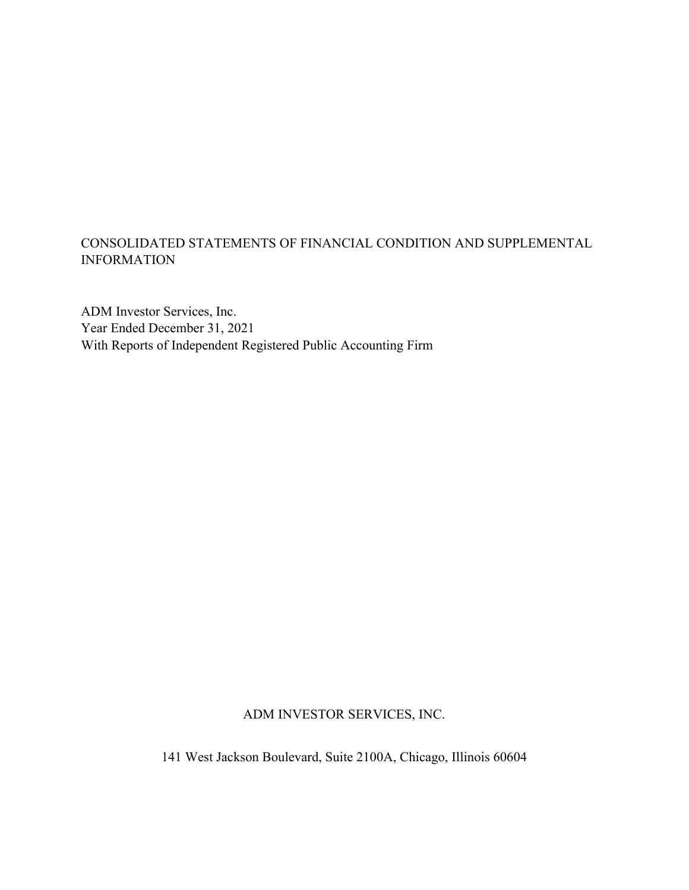### CONSOLIDATED STATEMENTS OF FINANCIAL CONDITION AND SUPPLEMENTAL INFORMATION

ADM Investor Services, Inc. Year Ended December 31, 2021 With Reports of Independent Registered Public Accounting Firm

ADM INVESTOR SERVICES, INC.

141 West Jackson Boulevard, Suite 2100A, Chicago, Illinois 60604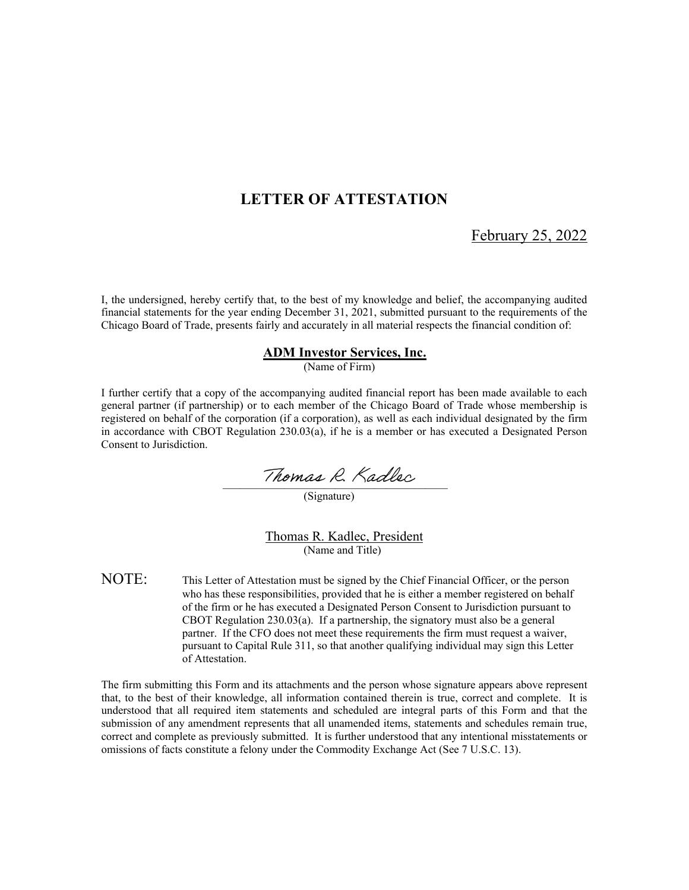### **LETTER OF ATTESTATION**

February 25, 2022

I, the undersigned, hereby certify that, to the best of my knowledge and belief, the accompanying audited financial statements for the year ending December 31, 2021, submitted pursuant to the requirements of the Chicago Board of Trade, presents fairly and accurately in all material respects the financial condition of:

#### **ADM Investor Services, Inc.**

(Name of Firm)

I further certify that a copy of the accompanying audited financial report has been made available to each general partner (if partnership) or to each member of the Chicago Board of Trade whose membership is registered on behalf of the corporation (if a corporation), as well as each individual designated by the firm in accordance with CBOT Regulation 230.03(a), if he is a member or has executed a Designated Person Consent to Jurisdiction.

Thomas R. Kadlec

(Signature)

Thomas R. Kadlec, President (Name and Title)

NOTE: This Letter of Attestation must be signed by the Chief Financial Officer, or the person who has these responsibilities, provided that he is either a member registered on behalf of the firm or he has executed a Designated Person Consent to Jurisdiction pursuant to CBOT Regulation 230.03(a). If a partnership, the signatory must also be a general partner. If the CFO does not meet these requirements the firm must request a waiver, pursuant to Capital Rule 311, so that another qualifying individual may sign this Letter of Attestation.

The firm submitting this Form and its attachments and the person whose signature appears above represent that, to the best of their knowledge, all information contained therein is true, correct and complete. It is understood that all required item statements and scheduled are integral parts of this Form and that the submission of any amendment represents that all unamended items, statements and schedules remain true, correct and complete as previously submitted. It is further understood that any intentional misstatements or omissions of facts constitute a felony under the Commodity Exchange Act (See 7 U.S.C. 13).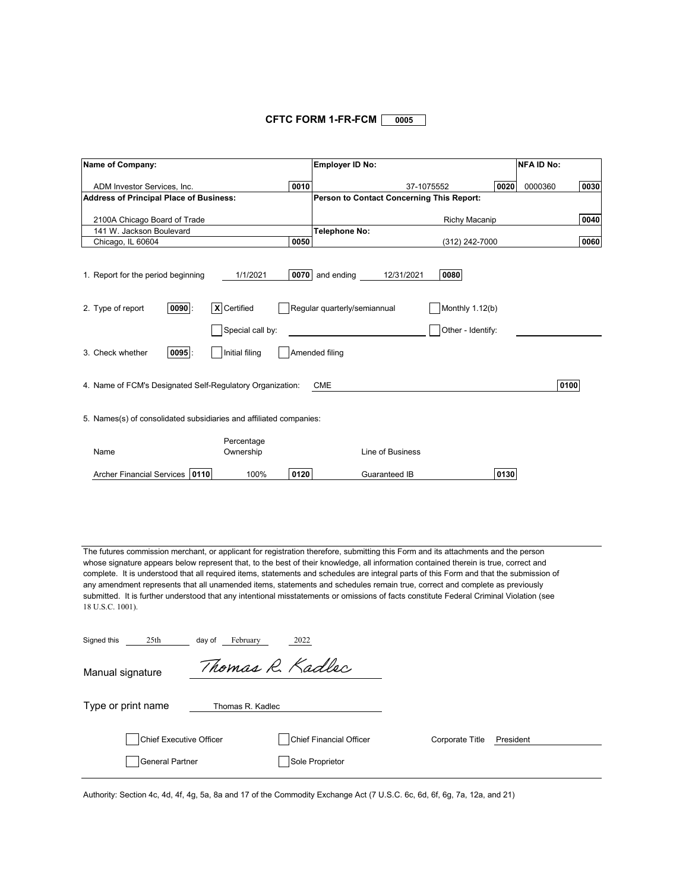#### **CFTC FORM 1-FR-FCM**  $\sqrt{0005}$

| Name of Company:                                                                                                                                                                                                                                                                                                                                                                                                                                                                                                                                                                                                                                                                                                   |                                             | <b>Employer ID No:</b>                                        |                                              | <b>NFA ID No:</b> |      |  |  |  |
|--------------------------------------------------------------------------------------------------------------------------------------------------------------------------------------------------------------------------------------------------------------------------------------------------------------------------------------------------------------------------------------------------------------------------------------------------------------------------------------------------------------------------------------------------------------------------------------------------------------------------------------------------------------------------------------------------------------------|---------------------------------------------|---------------------------------------------------------------|----------------------------------------------|-------------------|------|--|--|--|
| ADM Investor Services, Inc.                                                                                                                                                                                                                                                                                                                                                                                                                                                                                                                                                                                                                                                                                        | 0010                                        |                                                               | 37-1075552                                   | 0020<br>0000360   | 0030 |  |  |  |
| <b>Address of Principal Place of Business:</b>                                                                                                                                                                                                                                                                                                                                                                                                                                                                                                                                                                                                                                                                     |                                             | Person to Contact Concerning This Report:                     |                                              |                   |      |  |  |  |
| 2100A Chicago Board of Trade                                                                                                                                                                                                                                                                                                                                                                                                                                                                                                                                                                                                                                                                                       |                                             |                                                               | Richy Macanip                                |                   | 0040 |  |  |  |
| 141 W. Jackson Boulevard                                                                                                                                                                                                                                                                                                                                                                                                                                                                                                                                                                                                                                                                                           |                                             | <b>Telephone No:</b>                                          |                                              |                   |      |  |  |  |
| Chicago, IL 60604                                                                                                                                                                                                                                                                                                                                                                                                                                                                                                                                                                                                                                                                                                  | 0050                                        |                                                               | (312) 242-7000                               |                   | 0060 |  |  |  |
| 1. Report for the period beginning<br>$ 0090 $ :<br>2. Type of report                                                                                                                                                                                                                                                                                                                                                                                                                                                                                                                                                                                                                                              | 1/1/2021<br>X Certified<br>Special call by: | 0070 and ending<br>12/31/2021<br>Regular quarterly/semiannual | 0080<br>Monthly 1.12(b)<br>Other - Identify: |                   |      |  |  |  |
| $0095$ :<br>3. Check whether                                                                                                                                                                                                                                                                                                                                                                                                                                                                                                                                                                                                                                                                                       | Initial filing                              | Amended filing                                                |                                              |                   |      |  |  |  |
| 4. Name of FCM's Designated Self-Regulatory Organization:<br>5. Names(s) of consolidated subsidiaries and affiliated companies:                                                                                                                                                                                                                                                                                                                                                                                                                                                                                                                                                                                    |                                             | <b>CME</b>                                                    |                                              |                   | 0100 |  |  |  |
|                                                                                                                                                                                                                                                                                                                                                                                                                                                                                                                                                                                                                                                                                                                    |                                             |                                                               |                                              |                   |      |  |  |  |
| Name                                                                                                                                                                                                                                                                                                                                                                                                                                                                                                                                                                                                                                                                                                               | Percentage<br>Ownership                     | Line of Business                                              |                                              |                   |      |  |  |  |
|                                                                                                                                                                                                                                                                                                                                                                                                                                                                                                                                                                                                                                                                                                                    |                                             |                                                               |                                              |                   |      |  |  |  |
| <b>Archer Financial Services</b><br>0110                                                                                                                                                                                                                                                                                                                                                                                                                                                                                                                                                                                                                                                                           | 0120<br>100%                                | Guaranteed IB                                                 |                                              | 0130              |      |  |  |  |
| The futures commission merchant, or applicant for registration therefore, submitting this Form and its attachments and the person<br>whose signature appears below represent that, to the best of their knowledge, all information contained therein is true, correct and<br>complete. It is understood that all required items, statements and schedules are integral parts of this Form and that the submission of<br>any amendment represents that all unamended items, statements and schedules remain true, correct and complete as previously<br>submitted. It is further understood that any intentional misstatements or omissions of facts constitute Federal Criminal Violation (see<br>18 U.S.C. 1001). |                                             |                                                               |                                              |                   |      |  |  |  |
| Signed this<br>25th<br>day of                                                                                                                                                                                                                                                                                                                                                                                                                                                                                                                                                                                                                                                                                      | February<br>2022                            |                                                               |                                              |                   |      |  |  |  |
| Manual signature                                                                                                                                                                                                                                                                                                                                                                                                                                                                                                                                                                                                                                                                                                   | Thomas R. Kadlec                            |                                                               |                                              |                   |      |  |  |  |
| Type or print name                                                                                                                                                                                                                                                                                                                                                                                                                                                                                                                                                                                                                                                                                                 | Thomas R. Kadlec                            |                                                               |                                              |                   |      |  |  |  |
| <b>Chief Executive Officer</b>                                                                                                                                                                                                                                                                                                                                                                                                                                                                                                                                                                                                                                                                                     |                                             | Chief Financial Officer                                       | Corporate Title                              | President         |      |  |  |  |
| General Partner                                                                                                                                                                                                                                                                                                                                                                                                                                                                                                                                                                                                                                                                                                    |                                             | Sole Proprietor                                               |                                              |                   |      |  |  |  |

Authority: Section 4c, 4d, 4f, 4g, 5a, 8a and 17 of the Commodity Exchange Act (7 U.S.C. 6c, 6d, 6f, 6g, 7a, 12a, and 21)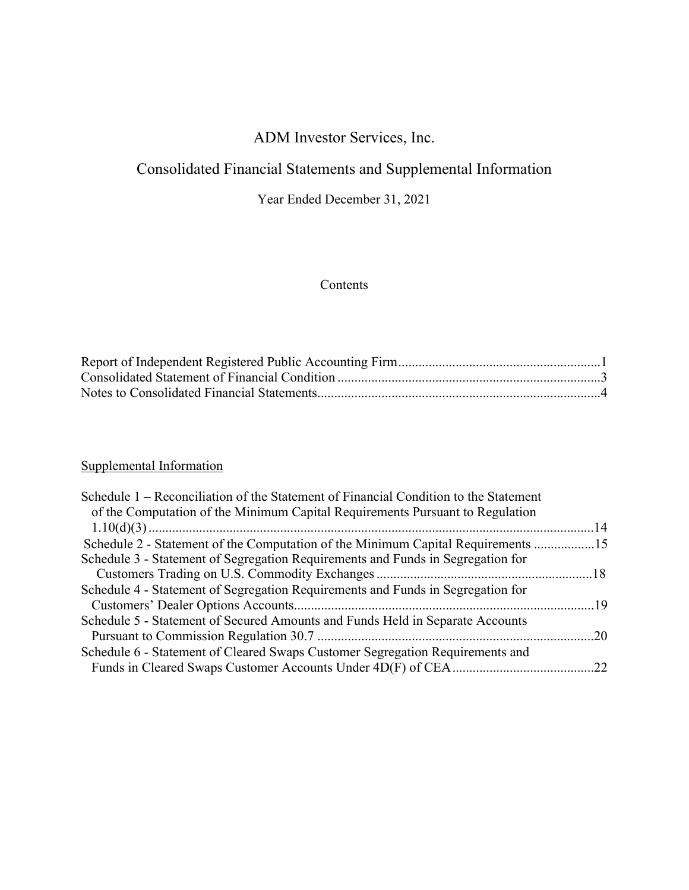# Consolidated Financial Statements and Supplemental Information

Year Ended December 31, 2021

### Contents

# Supplemental Information

| Schedule 1 – Reconciliation of the Statement of Financial Condition to the Statement |  |
|--------------------------------------------------------------------------------------|--|
| of the Computation of the Minimum Capital Requirements Pursuant to Regulation        |  |
|                                                                                      |  |
| Schedule 2 - Statement of the Computation of the Minimum Capital Requirements 15     |  |
| Schedule 3 - Statement of Segregation Requirements and Funds in Segregation for      |  |
|                                                                                      |  |
| Schedule 4 - Statement of Segregation Requirements and Funds in Segregation for      |  |
|                                                                                      |  |
| Schedule 5 - Statement of Secured Amounts and Funds Held in Separate Accounts        |  |
|                                                                                      |  |
| Schedule 6 - Statement of Cleared Swaps Customer Segregation Requirements and        |  |
|                                                                                      |  |
|                                                                                      |  |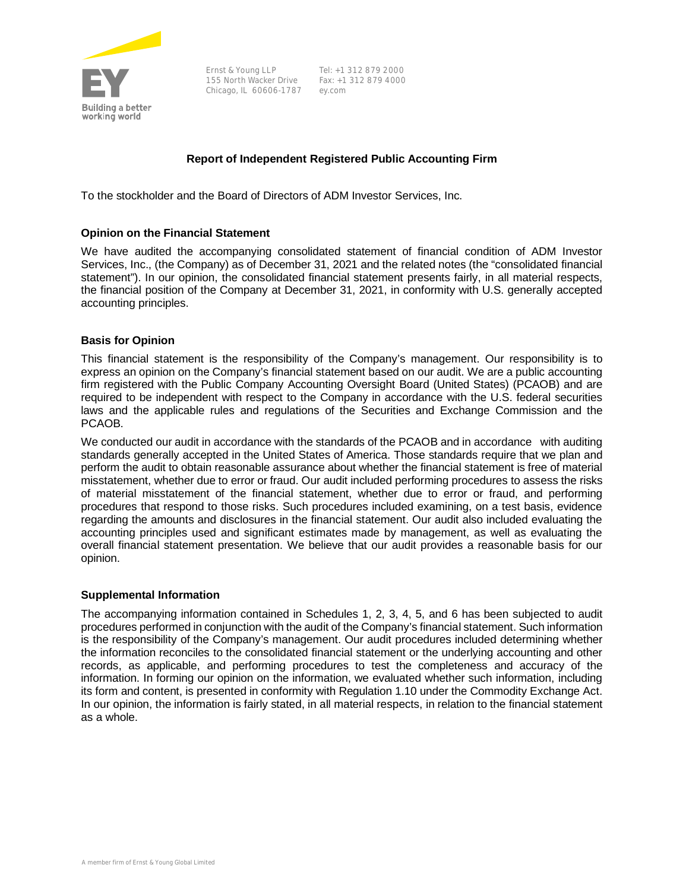

Ernst & Young LLP 155 North Wacker Drive Fax: +1 312 879 4000 Chicago, IL 60606-1787 ey.com

Tel: +1 312 879 2000

#### **Report of Independent Registered Public Accounting Firm**

To the stockholder and the Board of Directors of ADM Investor Services, Inc.

#### **Opinion on the Financial Statement**

We have audited the accompanying consolidated statement of financial condition of ADM Investor Services, Inc., (the Company) as of December 31, 2021 and the related notes (the "consolidated financial statement"). In our opinion, the consolidated financial statement presents fairly, in all material respects, the financial position of the Company at December 31, 2021, in conformity with U.S. generally accepted accounting principles.

#### **Basis for Opinion**

This financial statement is the responsibility of the Company's management. Our responsibility is to express an opinion on the Company's financial statement based on our audit. We are a public accounting firm registered with the Public Company Accounting Oversight Board (United States) (PCAOB) and are required to be independent with respect to the Company in accordance with the U.S. federal securities laws and the applicable rules and regulations of the Securities and Exchange Commission and the PCAOB.

We conducted our audit in accordance with the standards of the PCAOB and in accordance with auditing standards generally accepted in the United States of America. Those standards require that we plan and perform the audit to obtain reasonable assurance about whether the financial statement is free of material misstatement, whether due to error or fraud. Our audit included performing procedures to assess the risks of material misstatement of the financial statement, whether due to error or fraud, and performing procedures that respond to those risks. Such procedures included examining, on a test basis, evidence regarding the amounts and disclosures in the financial statement. Our audit also included evaluating the accounting principles used and significant estimates made by management, as well as evaluating the overall financial statement presentation. We believe that our audit provides a reasonable basis for our opinion.

#### **Supplemental Information**

The accompanying information contained in Schedules 1, 2, 3, 4, 5, and 6 has been subjected to audit procedures performed in conjunction with the audit of the Company's financial statement. Such information is the responsibility of the Company's management. Our audit procedures included determining whether the information reconciles to the consolidated financial statement or the underlying accounting and other records, as applicable, and performing procedures to test the completeness and accuracy of the information. In forming our opinion on the information, we evaluated whether such information, including its form and content, is presented in conformity with Regulation 1.10 under the Commodity Exchange Act. In our opinion, the information is fairly stated, in all material respects, in relation to the financial statement as a whole.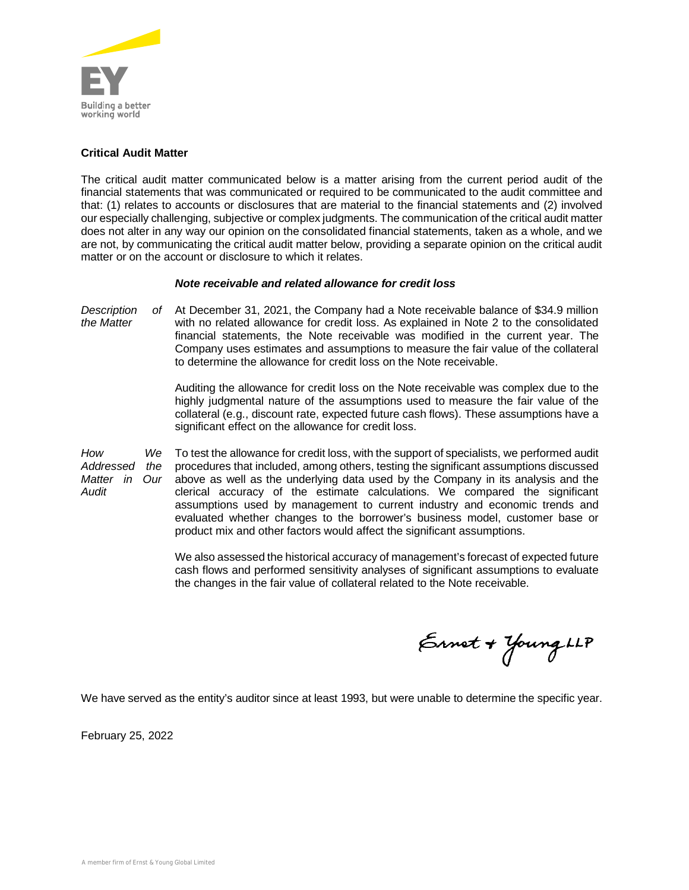

#### **Critical Audit Matter**

The critical audit matter communicated below is a matter arising from the current period audit of the financial statements that was communicated or required to be communicated to the audit committee and that: (1) relates to accounts or disclosures that are material to the financial statements and (2) involved our especially challenging, subjective or complex judgments. The communication of the critical audit matter does not alter in any way our opinion on the consolidated financial statements, taken as a whole, and we are not, by communicating the critical audit matter below, providing a separate opinion on the critical audit matter or on the account or disclosure to which it relates.

#### *Note receivable and related allowance for credit loss*

*Description of the Matter* At December 31, 2021, the Company had a Note receivable balance of \$34.9 million with no related allowance for credit loss. As explained in Note 2 to the consolidated financial statements, the Note receivable was modified in the current year. The Company uses estimates and assumptions to measure the fair value of the collateral to determine the allowance for credit loss on the Note receivable.

> Auditing the allowance for credit loss on the Note receivable was complex due to the highly judgmental nature of the assumptions used to measure the fair value of the collateral (e.g., discount rate, expected future cash flows). These assumptions have a significant effect on the allowance for credit loss.

*How We Addressed the Matter in Our Audit* To test the allowance for credit loss, with the support of specialists, we performed audit procedures that included, among others, testing the significant assumptions discussed above as well as the underlying data used by the Company in its analysis and the clerical accuracy of the estimate calculations. We compared the significant assumptions used by management to current industry and economic trends and evaluated whether changes to the borrower's business model, customer base or product mix and other factors would affect the significant assumptions.

> We also assessed the historical accuracy of management's forecast of expected future cash flows and performed sensitivity analyses of significant assumptions to evaluate the changes in the fair value of collateral related to the Note receivable.

Ernet + Young LLP

We have served as the entity's auditor since at least 1993, but were unable to determine the specific year.

February 25, 2022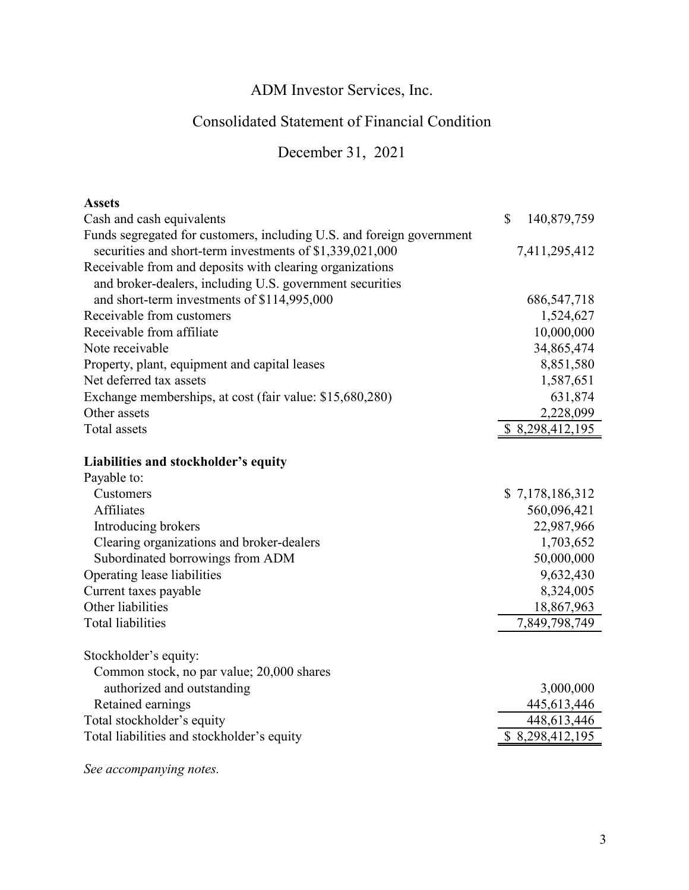# Consolidated Statement of Financial Condition

December 31, 2021

| <b>Assets</b>                                                         |                   |
|-----------------------------------------------------------------------|-------------------|
| Cash and cash equivalents                                             | \$<br>140,879,759 |
| Funds segregated for customers, including U.S. and foreign government |                   |
| securities and short-term investments of \$1,339,021,000              | 7,411,295,412     |
| Receivable from and deposits with clearing organizations              |                   |
| and broker-dealers, including U.S. government securities              |                   |
| and short-term investments of \$114,995,000                           | 686, 547, 718     |
| Receivable from customers                                             | 1,524,627         |
| Receivable from affiliate                                             | 10,000,000        |
| Note receivable                                                       | 34,865,474        |
| Property, plant, equipment and capital leases                         | 8,851,580         |
| Net deferred tax assets                                               | 1,587,651         |
| Exchange memberships, at cost (fair value: \$15,680,280)              | 631,874           |
| Other assets                                                          | 2,228,099         |
| <b>Total</b> assets                                                   | \$8,298,412,195   |
| Liabilities and stockholder's equity                                  |                   |
| Payable to:                                                           |                   |
| Customers                                                             | \$7,178,186,312   |
| <b>Affiliates</b>                                                     | 560,096,421       |
| Introducing brokers                                                   | 22,987,966        |
| Clearing organizations and broker-dealers                             | 1,703,652         |
| Subordinated borrowings from ADM                                      | 50,000,000        |
|                                                                       | 9,632,430         |
| Operating lease liabilities                                           |                   |
| Current taxes payable<br>Other liabilities                            | 8,324,005         |
|                                                                       | 18,867,963        |
| <b>Total liabilities</b>                                              | 7,849,798,749     |
| Stockholder's equity:                                                 |                   |
| Common stock, no par value; 20,000 shares                             |                   |
| authorized and outstanding                                            | 3,000,000         |
| Retained earnings                                                     | 445,613,446       |
| Total stockholder's equity                                            | 448,613,446       |
| Total liabilities and stockholder's equity                            | \$ 8,298,412,195  |
|                                                                       |                   |

*See accompanying notes.*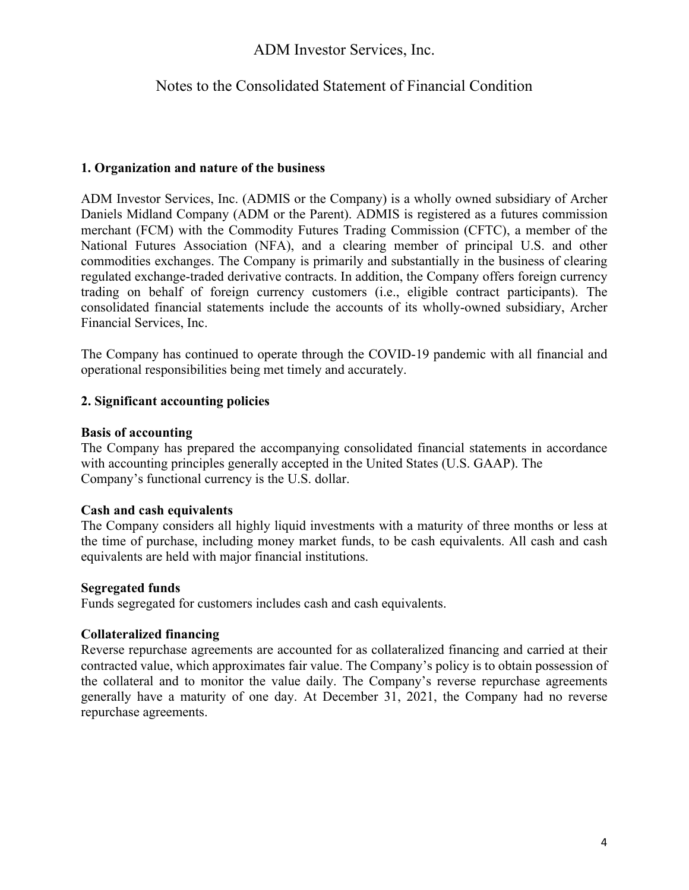### Notes to the Consolidated Statement of Financial Condition

#### **1. Organization and nature of the business**

ADM Investor Services, Inc. (ADMIS or the Company) is a wholly owned subsidiary of Archer Daniels Midland Company (ADM or the Parent). ADMIS is registered as a futures commission merchant (FCM) with the Commodity Futures Trading Commission (CFTC), a member of the National Futures Association (NFA), and a clearing member of principal U.S. and other commodities exchanges. The Company is primarily and substantially in the business of clearing regulated exchange-traded derivative contracts. In addition, the Company offers foreign currency trading on behalf of foreign currency customers (i.e., eligible contract participants). The consolidated financial statements include the accounts of its wholly-owned subsidiary, Archer Financial Services, Inc.

The Company has continued to operate through the COVID-19 pandemic with all financial and operational responsibilities being met timely and accurately.

#### **2. Significant accounting policies**

#### **Basis of accounting**

The Company has prepared the accompanying consolidated financial statements in accordance with accounting principles generally accepted in the United States (U.S. GAAP). The Company's functional currency is the U.S. dollar.

#### **Cash and cash equivalents**

The Company considers all highly liquid investments with a maturity of three months or less at the time of purchase, including money market funds, to be cash equivalents. All cash and cash equivalents are held with major financial institutions.

#### **Segregated funds**

Funds segregated for customers includes cash and cash equivalents.

#### **Collateralized financing**

Reverse repurchase agreements are accounted for as collateralized financing and carried at their contracted value, which approximates fair value. The Company's policy is to obtain possession of the collateral and to monitor the value daily. The Company's reverse repurchase agreements generally have a maturity of one day. At December 31, 2021, the Company had no reverse repurchase agreements.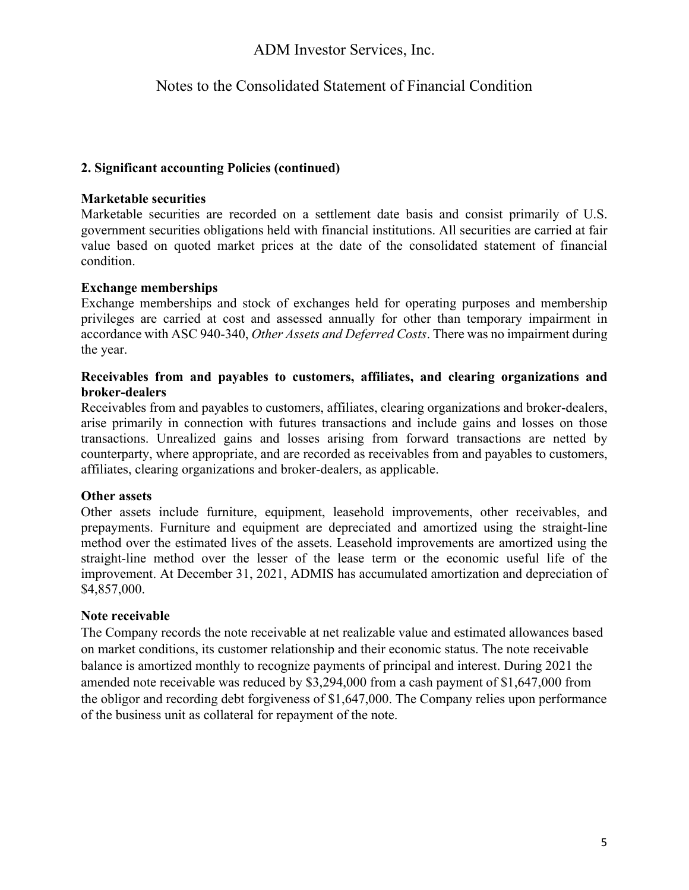## Notes to the Consolidated Statement of Financial Condition

### **2. Significant accounting Policies (continued)**

#### **Marketable securities**

Marketable securities are recorded on a settlement date basis and consist primarily of U.S. government securities obligations held with financial institutions. All securities are carried at fair value based on quoted market prices at the date of the consolidated statement of financial condition.

#### **Exchange memberships**

Exchange memberships and stock of exchanges held for operating purposes and membership privileges are carried at cost and assessed annually for other than temporary impairment in accordance with ASC 940-340, *Other Assets and Deferred Costs*. There was no impairment during the year.

#### **Receivables from and payables to customers, affiliates, and clearing organizations and broker-dealers**

Receivables from and payables to customers, affiliates, clearing organizations and broker-dealers, arise primarily in connection with futures transactions and include gains and losses on those transactions. Unrealized gains and losses arising from forward transactions are netted by counterparty, where appropriate, and are recorded as receivables from and payables to customers, affiliates, clearing organizations and broker-dealers, as applicable.

#### **Other assets**

Other assets include furniture, equipment, leasehold improvements, other receivables, and prepayments. Furniture and equipment are depreciated and amortized using the straight-line method over the estimated lives of the assets. Leasehold improvements are amortized using the straight-line method over the lesser of the lease term or the economic useful life of the improvement. At December 31, 2021, ADMIS has accumulated amortization and depreciation of \$4,857,000.

### **Note receivable**

The Company records the note receivable at net realizable value and estimated allowances based on market conditions, its customer relationship and their economic status. The note receivable balance is amortized monthly to recognize payments of principal and interest. During 2021 the amended note receivable was reduced by \$3,294,000 from a cash payment of \$1,647,000 from the obligor and recording debt forgiveness of \$1,647,000. The Company relies upon performance of the business unit as collateral for repayment of the note.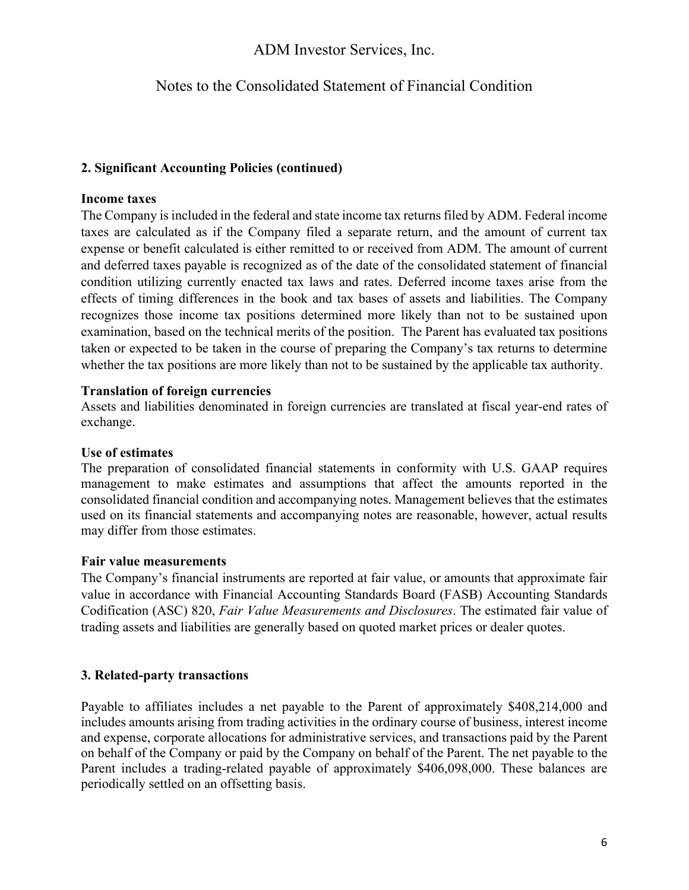## Notes to the Consolidated Statement of Financial Condition

### **2. Significant Accounting Policies (continued)**

#### **Income taxes**

The Company is included in the federal and state income tax returns filed by ADM. Federal income taxes are calculated as if the Company filed a separate return, and the amount of current tax expense or benefit calculated is either remitted to or received from ADM. The amount of current and deferred taxes payable is recognized as of the date of the consolidated statement of financial condition utilizing currently enacted tax laws and rates. Deferred income taxes arise from the effects of timing differences in the book and tax bases of assets and liabilities. The Company recognizes those income tax positions determined more likely than not to be sustained upon examination, based on the technical merits of the position. The Parent has evaluated tax positions taken or expected to be taken in the course of preparing the Company's tax returns to determine whether the tax positions are more likely than not to be sustained by the applicable tax authority.

#### **Translation of foreign currencies**

Assets and liabilities denominated in foreign currencies are translated at fiscal year-end rates of exchange.

#### **Use of estimates**

The preparation of consolidated financial statements in conformity with U.S. GAAP requires management to make estimates and assumptions that affect the amounts reported in the consolidated financial condition and accompanying notes. Management believes that the estimates used on its financial statements and accompanying notes are reasonable, however, actual results may differ from those estimates.

#### **Fair value measurements**

The Company's financial instruments are reported at fair value, or amounts that approximate fair value in accordance with Financial Accounting Standards Board (FASB) Accounting Standards Codification (ASC) 820, *Fair Value Measurements and Disclosures*. The estimated fair value of trading assets and liabilities are generally based on quoted market prices or dealer quotes.

### **3. Related-party transactions**

Payable to affiliates includes a net payable to the Parent of approximately \$408,214,000 and includes amounts arising from trading activities in the ordinary course of business, interest income and expense, corporate allocations for administrative services, and transactions paid by the Parent on behalf of the Company or paid by the Company on behalf of the Parent. The net payable to the Parent includes a trading-related payable of approximately \$406,098,000. These balances are periodically settled on an offsetting basis.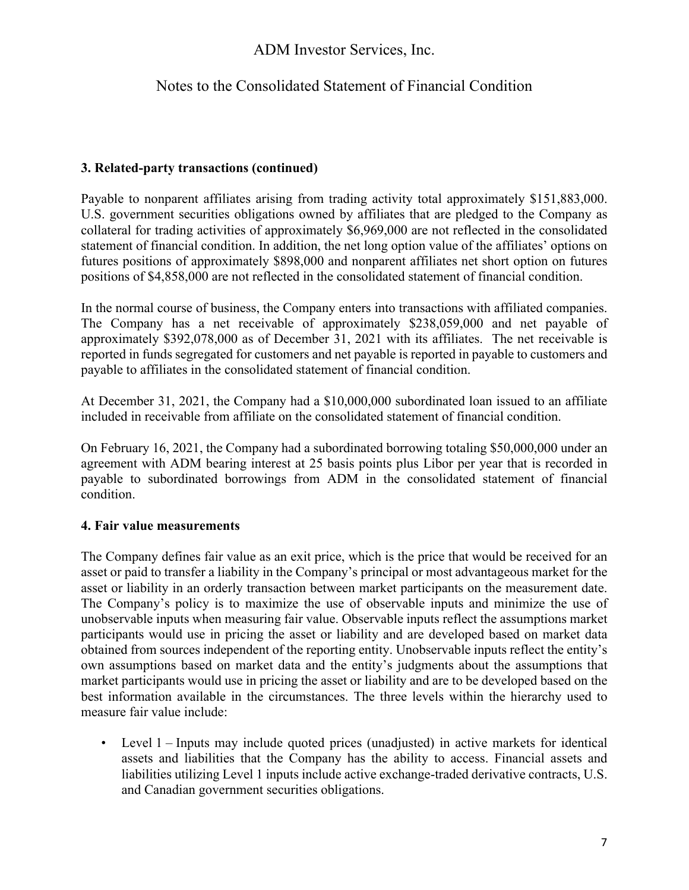### Notes to the Consolidated Statement of Financial Condition

### **3. Related-party transactions (continued)**

Payable to nonparent affiliates arising from trading activity total approximately \$151,883,000. U.S. government securities obligations owned by affiliates that are pledged to the Company as collateral for trading activities of approximately \$6,969,000 are not reflected in the consolidated statement of financial condition. In addition, the net long option value of the affiliates' options on futures positions of approximately \$898,000 and nonparent affiliates net short option on futures positions of \$4,858,000 are not reflected in the consolidated statement of financial condition.

In the normal course of business, the Company enters into transactions with affiliated companies. The Company has a net receivable of approximately \$238,059,000 and net payable of approximately \$392,078,000 as of December 31, 2021 with its affiliates. The net receivable is reported in funds segregated for customers and net payable is reported in payable to customers and payable to affiliates in the consolidated statement of financial condition.

At December 31, 2021, the Company had a \$10,000,000 subordinated loan issued to an affiliate included in receivable from affiliate on the consolidated statement of financial condition.

On February 16, 2021, the Company had a subordinated borrowing totaling \$50,000,000 under an agreement with ADM bearing interest at 25 basis points plus Libor per year that is recorded in payable to subordinated borrowings from ADM in the consolidated statement of financial condition.

### **4. Fair value measurements**

The Company defines fair value as an exit price, which is the price that would be received for an asset or paid to transfer a liability in the Company's principal or most advantageous market for the asset or liability in an orderly transaction between market participants on the measurement date. The Company's policy is to maximize the use of observable inputs and minimize the use of unobservable inputs when measuring fair value. Observable inputs reflect the assumptions market participants would use in pricing the asset or liability and are developed based on market data obtained from sources independent of the reporting entity. Unobservable inputs reflect the entity's own assumptions based on market data and the entity's judgments about the assumptions that market participants would use in pricing the asset or liability and are to be developed based on the best information available in the circumstances. The three levels within the hierarchy used to measure fair value include:

• Level 1 – Inputs may include quoted prices (unadjusted) in active markets for identical assets and liabilities that the Company has the ability to access. Financial assets and liabilities utilizing Level 1 inputs include active exchange-traded derivative contracts, U.S. and Canadian government securities obligations.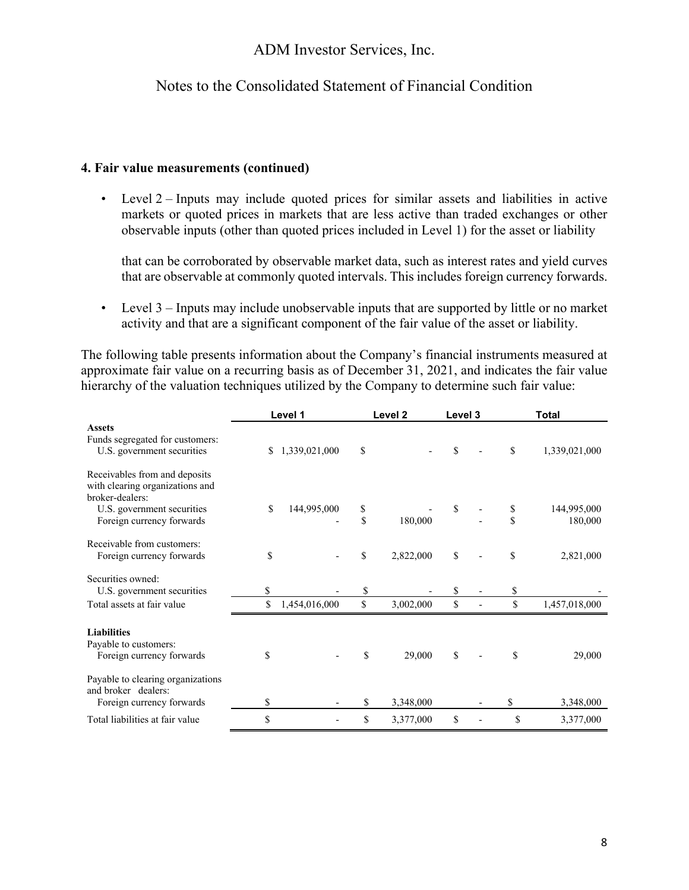### Notes to the Consolidated Statement of Financial Condition

#### **4. Fair value measurements (continued)**

• Level 2 – Inputs may include quoted prices for similar assets and liabilities in active markets or quoted prices in markets that are less active than traded exchanges or other observable inputs (other than quoted prices included in Level 1) for the asset or liability

that can be corroborated by observable market data, such as interest rates and yield curves that are observable at commonly quoted intervals. This includes foreign currency forwards.

• Level 3 – Inputs may include unobservable inputs that are supported by little or no market activity and that are a significant component of the fair value of the asset or liability.

The following table presents information about the Company's financial instruments measured at approximate fair value on a recurring basis as of December 31, 2021, and indicates the fair value hierarchy of the valuation techniques utilized by the Company to determine such fair value:

|                                                                                       |    | Level 1       |                   | Level <sub>2</sub> | Level 3 |          | <b>Total</b>           |
|---------------------------------------------------------------------------------------|----|---------------|-------------------|--------------------|---------|----------|------------------------|
| <b>Assets</b><br>Funds segregated for customers:<br>U.S. government securities        | S. | 1,339,021,000 | \$                |                    | \$      | \$       | 1,339,021,000          |
| Receivables from and deposits<br>with clearing organizations and<br>broker-dealers:   |    |               |                   |                    |         |          |                        |
| U.S. government securities<br>Foreign currency forwards                               | \$ | 144,995,000   | \$<br>$\mathbf S$ | 180,000            | \$      | \$<br>\$ | 144,995,000<br>180,000 |
| Receivable from customers:<br>Foreign currency forwards                               | \$ |               | \$                | 2,822,000          | \$      | \$       | 2,821,000              |
| Securities owned:<br>U.S. government securities                                       | \$ |               | \$                |                    | \$      | \$       |                        |
| Total assets at fair value                                                            | \$ | 1,454,016,000 | $\mathbb S$       | 3,002,000          | \$      | \$       | 1,457,018,000          |
| <b>Liabilities</b><br>Payable to customers:<br>Foreign currency forwards              | \$ |               | \$                | 29,000             | \$      | \$       | 29,000                 |
| Payable to clearing organizations<br>and broker dealers:<br>Foreign currency forwards | \$ |               | \$                | 3,348,000          |         | \$       | 3,348,000              |
| Total liabilities at fair value                                                       | \$ |               | \$                | 3,377,000          | \$      | \$       | 3,377,000              |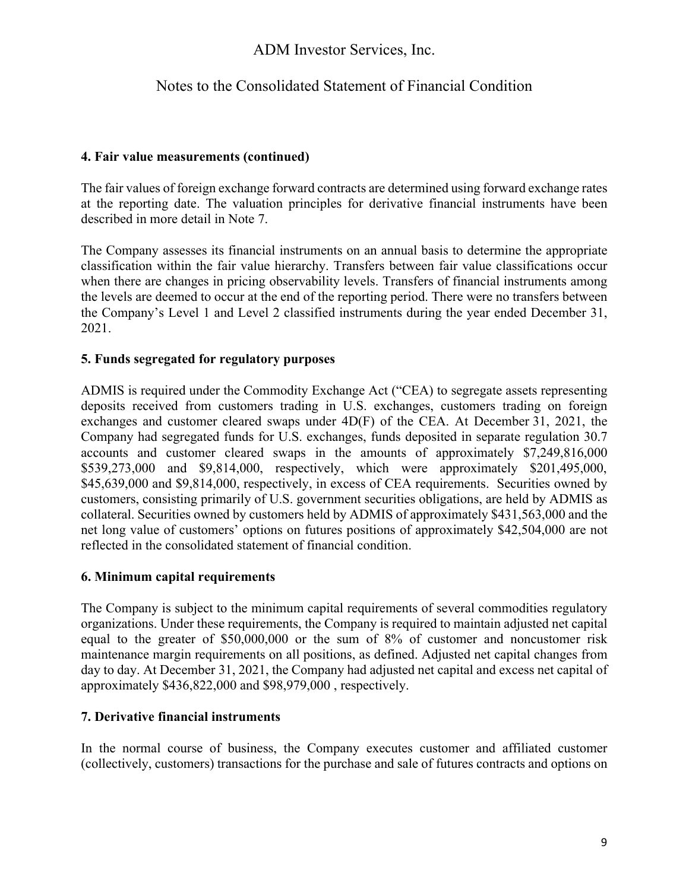### Notes to the Consolidated Statement of Financial Condition

### **4. Fair value measurements (continued)**

The fair values of foreign exchange forward contracts are determined using forward exchange rates at the reporting date. The valuation principles for derivative financial instruments have been described in more detail in Note 7.

The Company assesses its financial instruments on an annual basis to determine the appropriate classification within the fair value hierarchy. Transfers between fair value classifications occur when there are changes in pricing observability levels. Transfers of financial instruments among the levels are deemed to occur at the end of the reporting period. There were no transfers between the Company's Level 1 and Level 2 classified instruments during the year ended December 31, 2021.

### **5. Funds segregated for regulatory purposes**

ADMIS is required under the Commodity Exchange Act ("CEA) to segregate assets representing deposits received from customers trading in U.S. exchanges, customers trading on foreign exchanges and customer cleared swaps under 4D(F) of the CEA. At December 31, 2021, the Company had segregated funds for U.S. exchanges, funds deposited in separate regulation 30.7 accounts and customer cleared swaps in the amounts of approximately \$7,249,816,000 \$539,273,000 and \$9,814,000, respectively, which were approximately \$201,495,000, \$45,639,000 and \$9,814,000, respectively, in excess of CEA requirements. Securities owned by customers, consisting primarily of U.S. government securities obligations, are held by ADMIS as collateral. Securities owned by customers held by ADMIS of approximately \$431,563,000 and the net long value of customers' options on futures positions of approximately \$42,504,000 are not reflected in the consolidated statement of financial condition.

### **6. Minimum capital requirements**

The Company is subject to the minimum capital requirements of several commodities regulatory organizations. Under these requirements, the Company is required to maintain adjusted net capital equal to the greater of \$50,000,000 or the sum of 8% of customer and noncustomer risk maintenance margin requirements on all positions, as defined. Adjusted net capital changes from day to day. At December 31, 2021, the Company had adjusted net capital and excess net capital of approximately \$436,822,000 and \$98,979,000 , respectively.

### **7. Derivative financial instruments**

In the normal course of business, the Company executes customer and affiliated customer (collectively, customers) transactions for the purchase and sale of futures contracts and options on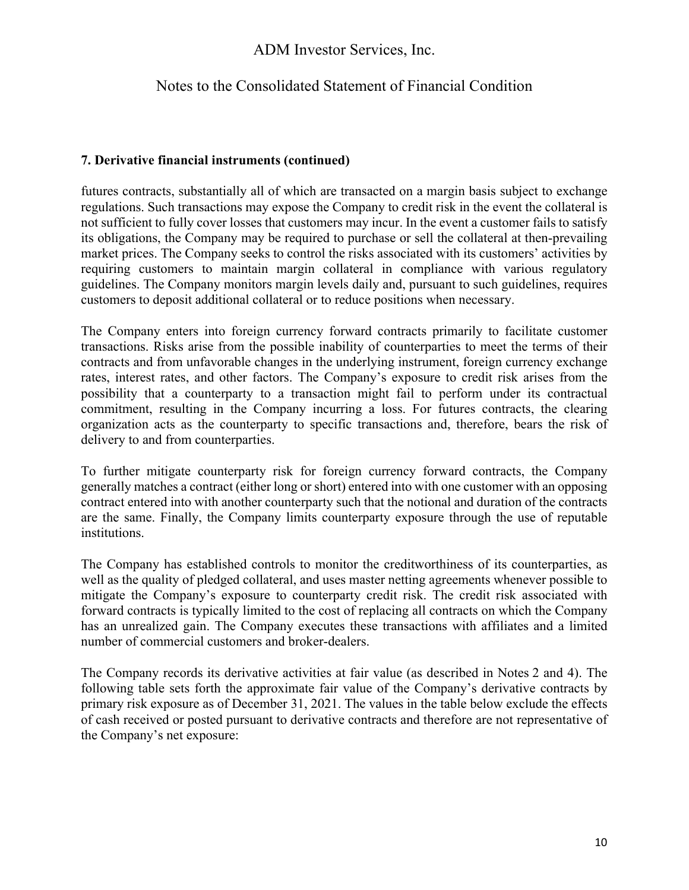### Notes to the Consolidated Statement of Financial Condition

### **7. Derivative financial instruments (continued)**

futures contracts, substantially all of which are transacted on a margin basis subject to exchange regulations. Such transactions may expose the Company to credit risk in the event the collateral is not sufficient to fully cover losses that customers may incur. In the event a customer fails to satisfy its obligations, the Company may be required to purchase or sell the collateral at then-prevailing market prices. The Company seeks to control the risks associated with its customers' activities by requiring customers to maintain margin collateral in compliance with various regulatory guidelines. The Company monitors margin levels daily and, pursuant to such guidelines, requires customers to deposit additional collateral or to reduce positions when necessary.

The Company enters into foreign currency forward contracts primarily to facilitate customer transactions. Risks arise from the possible inability of counterparties to meet the terms of their contracts and from unfavorable changes in the underlying instrument, foreign currency exchange rates, interest rates, and other factors. The Company's exposure to credit risk arises from the possibility that a counterparty to a transaction might fail to perform under its contractual commitment, resulting in the Company incurring a loss. For futures contracts, the clearing organization acts as the counterparty to specific transactions and, therefore, bears the risk of delivery to and from counterparties.

To further mitigate counterparty risk for foreign currency forward contracts, the Company generally matches a contract (either long or short) entered into with one customer with an opposing contract entered into with another counterparty such that the notional and duration of the contracts are the same. Finally, the Company limits counterparty exposure through the use of reputable institutions.

The Company has established controls to monitor the creditworthiness of its counterparties, as well as the quality of pledged collateral, and uses master netting agreements whenever possible to mitigate the Company's exposure to counterparty credit risk. The credit risk associated with forward contracts is typically limited to the cost of replacing all contracts on which the Company has an unrealized gain. The Company executes these transactions with affiliates and a limited number of commercial customers and broker-dealers.

The Company records its derivative activities at fair value (as described in Notes 2 and 4). The following table sets forth the approximate fair value of the Company's derivative contracts by primary risk exposure as of December 31, 2021. The values in the table below exclude the effects of cash received or posted pursuant to derivative contracts and therefore are not representative of the Company's net exposure: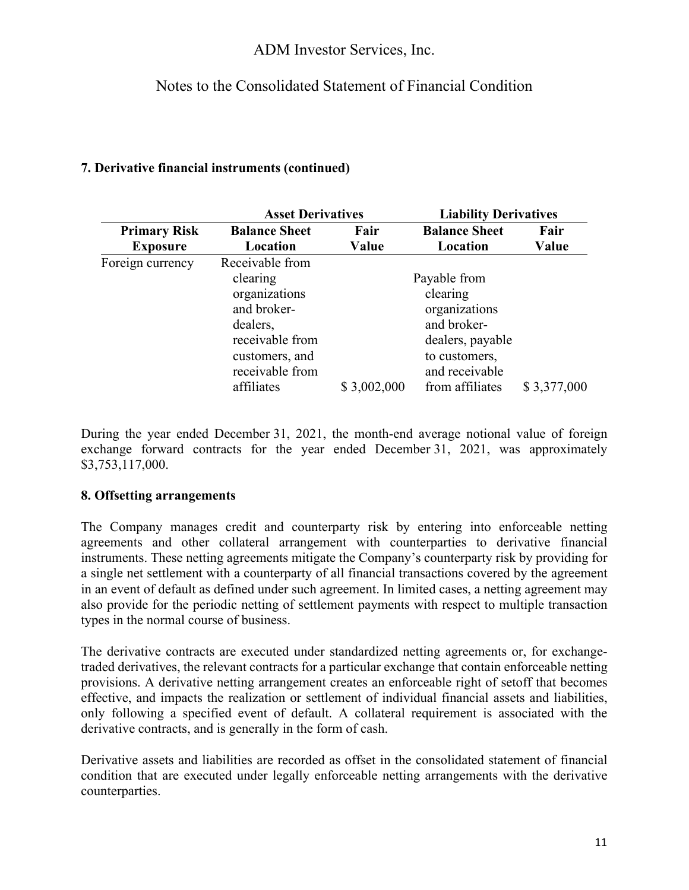## Notes to the Consolidated Statement of Financial Condition

### **7. Derivative financial instruments (continued)**

|                     | <b>Asset Derivatives</b> |              | <b>Liability Derivatives</b> |             |
|---------------------|--------------------------|--------------|------------------------------|-------------|
| <b>Primary Risk</b> | <b>Balance Sheet</b>     | Fair         | <b>Balance Sheet</b>         | Fair        |
| <b>Exposure</b>     | Location                 | Value        | Location                     | Value       |
| Foreign currency    | Receivable from          |              |                              |             |
|                     | clearing                 | Payable from |                              |             |
|                     | organizations            |              | clearing                     |             |
|                     | and broker-              |              | organizations                |             |
|                     | dealers,                 |              | and broker-                  |             |
|                     | receivable from          |              | dealers, payable             |             |
|                     | customers, and           |              | to customers,                |             |
|                     | receivable from          |              | and receivable               |             |
|                     | affiliates               | \$3,002,000  | from affiliates              | \$3,377,000 |

During the year ended December 31, 2021, the month-end average notional value of foreign exchange forward contracts for the year ended December 31, 2021, was approximately \$3,753,117,000.

### **8. Offsetting arrangements**

The Company manages credit and counterparty risk by entering into enforceable netting agreements and other collateral arrangement with counterparties to derivative financial instruments. These netting agreements mitigate the Company's counterparty risk by providing for a single net settlement with a counterparty of all financial transactions covered by the agreement in an event of default as defined under such agreement. In limited cases, a netting agreement may also provide for the periodic netting of settlement payments with respect to multiple transaction types in the normal course of business.

The derivative contracts are executed under standardized netting agreements or, for exchangetraded derivatives, the relevant contracts for a particular exchange that contain enforceable netting provisions. A derivative netting arrangement creates an enforceable right of setoff that becomes effective, and impacts the realization or settlement of individual financial assets and liabilities, only following a specified event of default. A collateral requirement is associated with the derivative contracts, and is generally in the form of cash.

Derivative assets and liabilities are recorded as offset in the consolidated statement of financial condition that are executed under legally enforceable netting arrangements with the derivative counterparties.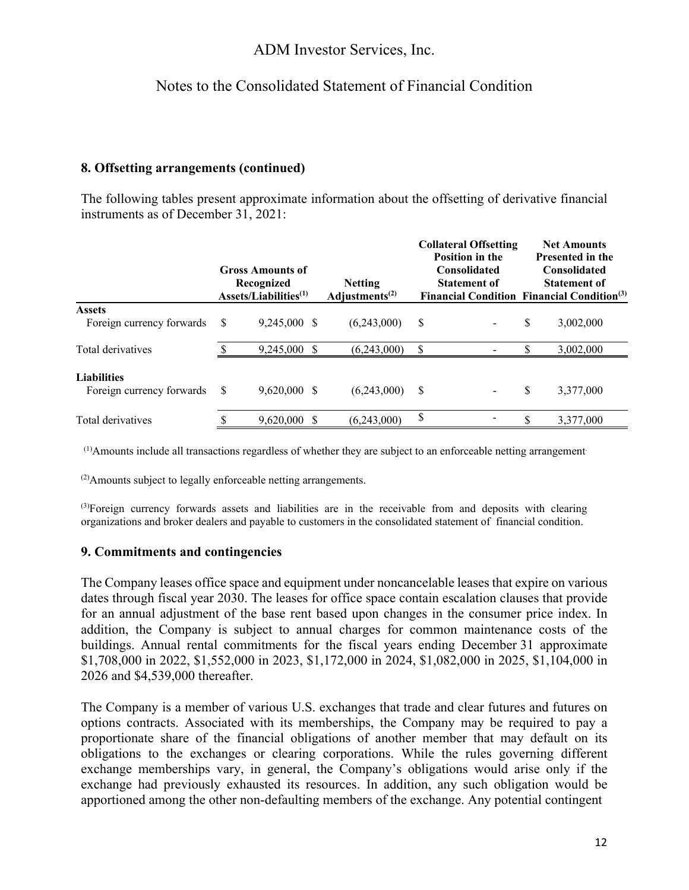## Notes to the Consolidated Statement of Financial Condition

### **8. Offsetting arrangements (continued)**

The following tables present approximate information about the offsetting of derivative financial instruments as of December 31, 2021:

|                                                 |    | <b>Gross Amounts of</b>                         |                                                           | <b>Collateral Offsetting</b><br><b>Position in the</b><br><b>Consolidated</b> |    | <b>Net Amounts</b><br>Presented in the<br><b>Consolidated</b>                        |
|-------------------------------------------------|----|-------------------------------------------------|-----------------------------------------------------------|-------------------------------------------------------------------------------|----|--------------------------------------------------------------------------------------|
|                                                 |    | Recognized<br>$\text{Assets/Liabilities}^{(1)}$ | <b>Netting</b><br>Adjustments <sup><math>(2)</math></sup> | <b>Statement of</b>                                                           |    | <b>Statement of</b><br><b>Financial Condition Financial Condition</b> <sup>(3)</sup> |
| <b>Assets</b><br>Foreign currency forwards      | \$ | 9,245,000 \$                                    | (6,243,000)                                               | \$                                                                            | \$ | 3,002,000                                                                            |
| Total derivatives                               |    | 9,245,000 \$                                    | (6,243,000)                                               | \$                                                                            |    | 3,002,000                                                                            |
| <b>Liabilities</b><br>Foreign currency forwards | S  | $9,620,000$ \$                                  | (6,243,000)                                               | \$                                                                            | S  | 3,377,000                                                                            |
| Total derivatives                               |    | $9,620,000$ \$                                  | (6,243,000)                                               | \$                                                                            |    | 3,377,000                                                                            |

(1)Amounts include all transactions regardless of whether they are subject to an enforceable netting arrangement.

(2)Amounts subject to legally enforceable netting arrangements.

<sup>(3)</sup>Foreign currency forwards assets and liabilities are in the receivable from and deposits with clearing organizations and broker dealers and payable to customers in the consolidated statement of financial condition.

#### **9. Commitments and contingencies**

The Company leases office space and equipment under noncancelable leases that expire on various dates through fiscal year 2030. The leases for office space contain escalation clauses that provide for an annual adjustment of the base rent based upon changes in the consumer price index. In addition, the Company is subject to annual charges for common maintenance costs of the buildings. Annual rental commitments for the fiscal years ending December 31 approximate \$1,708,000 in 2022, \$1,552,000 in 2023, \$1,172,000 in 2024, \$1,082,000 in 2025, \$1,104,000 in 2026 and \$4,539,000 thereafter.

The Company is a member of various U.S. exchanges that trade and clear futures and futures on options contracts. Associated with its memberships, the Company may be required to pay a proportionate share of the financial obligations of another member that may default on its obligations to the exchanges or clearing corporations. While the rules governing different exchange memberships vary, in general, the Company's obligations would arise only if the exchange had previously exhausted its resources. In addition, any such obligation would be apportioned among the other non-defaulting members of the exchange. Any potential contingent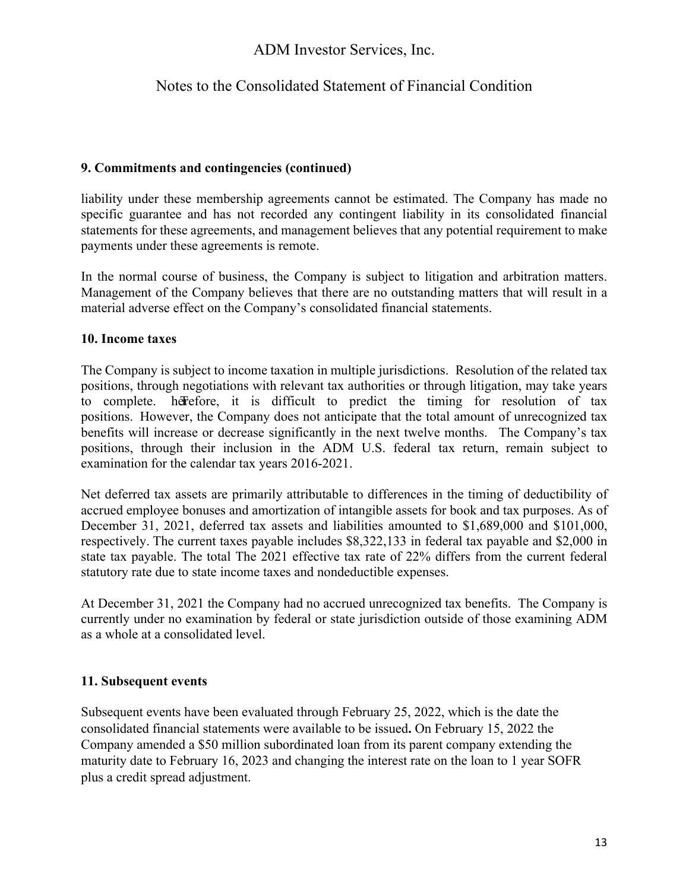### Notes to the Consolidated Statement of Financial Condition

#### **9. Commitments and contingencies (continued)**

liability under these membership agreements cannot be estimated. The Company has made no specific guarantee and has not recorded any contingent liability in its consolidated financial statements for these agreements, and management believes that any potential requirement to make payments under these agreements is remote.

In the normal course of business, the Company is subject to litigation and arbitration matters. Management of the Company believes that there are no outstanding matters that will result in a material adverse effect on the Company's consolidated financial statements.

#### **10. Income taxes**

The Company is subject to income taxation in multiple jurisdictions. Resolution of the related tax positions, through negotiations with relevant tax authorities or through litigation, may take years to complete. herefore, it is difficult to predict the timing for resolution of tax positions. However, the Company does not anticipate that the total amount of unrecognized tax benefits will increase or decrease significantly in the next twelve months. The Company's tax positions, through their inclusion in the ADM U.S. federal tax return, remain subject to examination for the calendar tax years 2016-2021.

Net deferred tax assets are primarily attributable to differences in the timing of deductibility of accrued employee bonuses and amortization of intangible assets for book and tax purposes. As of December 31, 2021, deferred tax assets and liabilities amounted to \$1,689,000 and \$101,000, respectively. The current taxes payable includes \$8,322,133 in federal tax payable and \$2,000 in state tax payable. The total The 2021 effective tax rate of 22% differs from the current federal statutory rate due to state income taxes and nondeductible expenses.

At December 31, 2021 the Company had no accrued unrecognized tax benefits. The Company is currently under no examination by federal or state jurisdiction outside of those examining ADM as a whole at a consolidated level.

### **11. Subsequent events**

Subsequent events have been evaluated through February 25, 2022, which is the date the consolidated financial statements were available to be issued**.** On February 15, 2022 the Company amended a \$50 million subordinated loan from its parent company extending the maturity date to February 16, 2023 and changing the interest rate on the loan to 1 year SOFR plus a credit spread adjustment.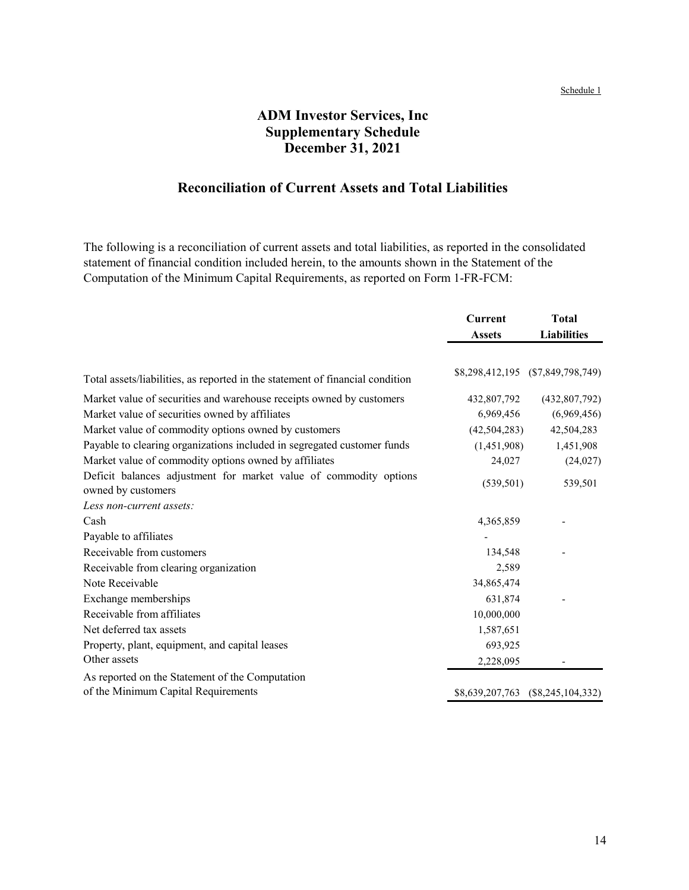#### Schedule 1

# **ADM Investor Services, Inc Supplementary Schedule December 31, 2021**

# **Reconciliation of Current Assets and Total Liabilities**

The following is a reconciliation of current assets and total liabilities, as reported in the consolidated statement of financial condition included herein, to the amounts shown in the Statement of the Computation of the Minimum Capital Requirements, as reported on Form 1-FR‑FCM:

|                                                                                         | <b>Current</b> | <b>Total</b>                      |
|-----------------------------------------------------------------------------------------|----------------|-----------------------------------|
|                                                                                         | <b>Assets</b>  | <b>Liabilities</b>                |
|                                                                                         |                |                                   |
| Total assets/liabilities, as reported in the statement of financial condition           |                | \$8,298,412,195 (\$7,849,798,749) |
| Market value of securities and warehouse receipts owned by customers                    | 432,807,792    | (432, 807, 792)                   |
| Market value of securities owned by affiliates                                          | 6,969,456      | (6,969,456)                       |
| Market value of commodity options owned by customers                                    | (42, 504, 283) | 42,504,283                        |
| Payable to clearing organizations included in segregated customer funds                 | (1,451,908)    | 1,451,908                         |
| Market value of commodity options owned by affiliates                                   | 24,027         | (24,027)                          |
| Deficit balances adjustment for market value of commodity options<br>owned by customers | (539, 501)     | 539,501                           |
| Less non-current assets:                                                                |                |                                   |
| Cash                                                                                    | 4,365,859      |                                   |
| Payable to affiliates                                                                   |                |                                   |
| Receivable from customers                                                               | 134,548        |                                   |
| Receivable from clearing organization                                                   | 2,589          |                                   |
| Note Receivable                                                                         | 34,865,474     |                                   |
| Exchange memberships                                                                    | 631,874        |                                   |
| Receivable from affiliates                                                              | 10,000,000     |                                   |
| Net deferred tax assets                                                                 | 1,587,651      |                                   |
| Property, plant, equipment, and capital leases                                          | 693,925        |                                   |
| Other assets                                                                            | 2,228,095      |                                   |
| As reported on the Statement of the Computation                                         |                |                                   |
| of the Minimum Capital Requirements                                                     |                | \$8,639,207,763 (\$8,245,104,332) |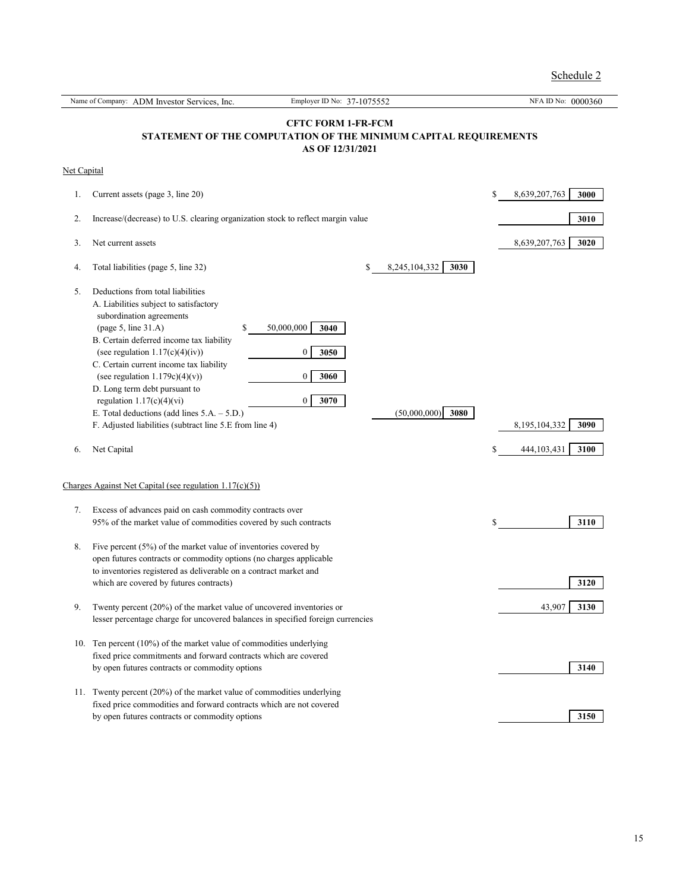Schedule 2

|             | Name of Company: ADM Investor Services, Inc.                                                                                                                                                                                                                                                                                                                                                                                                                                                              | Employer ID No: 37-1075552                                                                                        | NFA ID No: 0000360          |
|-------------|-----------------------------------------------------------------------------------------------------------------------------------------------------------------------------------------------------------------------------------------------------------------------------------------------------------------------------------------------------------------------------------------------------------------------------------------------------------------------------------------------------------|-------------------------------------------------------------------------------------------------------------------|-----------------------------|
|             |                                                                                                                                                                                                                                                                                                                                                                                                                                                                                                           | <b>CFTC FORM 1-FR-FCM</b><br>STATEMENT OF THE COMPUTATION OF THE MINIMUM CAPITAL REQUIREMENTS<br>AS OF 12/31/2021 |                             |
| Net Capital |                                                                                                                                                                                                                                                                                                                                                                                                                                                                                                           |                                                                                                                   |                             |
| 1.          | Current assets (page 3, line 20)                                                                                                                                                                                                                                                                                                                                                                                                                                                                          |                                                                                                                   | \$<br>8,639,207,763<br>3000 |
| 2.          | Increase/(decrease) to U.S. clearing organization stock to reflect margin value                                                                                                                                                                                                                                                                                                                                                                                                                           |                                                                                                                   | 3010                        |
| 3.          | Net current assets                                                                                                                                                                                                                                                                                                                                                                                                                                                                                        |                                                                                                                   | 8,639,207,763<br>3020       |
| 4.          | Total liabilities (page 5, line 32)                                                                                                                                                                                                                                                                                                                                                                                                                                                                       | 8,245,104,332<br>3030<br>\$                                                                                       |                             |
| 5.          | Deductions from total liabilities<br>A. Liabilities subject to satisfactory<br>subordination agreements<br>$\text{(page 5, line 31.A)}$<br>50,000,000<br>\$<br>B. Certain deferred income tax liability<br>(see regulation $1.17(c)(4)(iv)$ )<br>C. Certain current income tax liability<br>(see regulation $1.179c(4)(v)$ )<br>D. Long term debt pursuant to<br>regulation $1.17(c)(4)(vi)$<br>E. Total deductions (add lines $5.A. - 5.D.$ )<br>F. Adjusted liabilities (subtract line 5.E from line 4) | 3040<br>3050<br>$\bf{0}$<br>3060<br>0<br>3070<br>$\boldsymbol{0}$<br>(50,000,000)<br>3080                         | 8,195,104,332<br>3090       |
| 6.          | Net Capital                                                                                                                                                                                                                                                                                                                                                                                                                                                                                               |                                                                                                                   | \$<br>444, 103, 431<br>3100 |
|             | Charges Against Net Capital (see regulation $1.17(c)(5)$ )                                                                                                                                                                                                                                                                                                                                                                                                                                                |                                                                                                                   |                             |
| 7.          | Excess of advances paid on cash commodity contracts over<br>95% of the market value of commodities covered by such contracts                                                                                                                                                                                                                                                                                                                                                                              |                                                                                                                   | \$<br>3110                  |
| 8.          | Five percent $(5\%)$ of the market value of inventories covered by<br>open futures contracts or commodity options (no charges applicable<br>to inventories registered as deliverable on a contract market and<br>which are covered by futures contracts)                                                                                                                                                                                                                                                  |                                                                                                                   | 3120                        |
| 9.          | Twenty percent $(20%)$ of the market value of uncovered inventories or<br>lesser percentage charge for uncovered balances in specified foreign currencies                                                                                                                                                                                                                                                                                                                                                 |                                                                                                                   | 43,907<br>3130              |
| 10.         | Ten percent $(10\%)$ of the market value of commodities underlying<br>fixed price commitments and forward contracts which are covered<br>by open futures contracts or commodity options                                                                                                                                                                                                                                                                                                                   |                                                                                                                   | 3140                        |
| 11.         | Twenty percent (20%) of the market value of commodities underlying<br>fixed price commodities and forward contracts which are not covered<br>by open futures contracts or commodity options                                                                                                                                                                                                                                                                                                               |                                                                                                                   | 3150                        |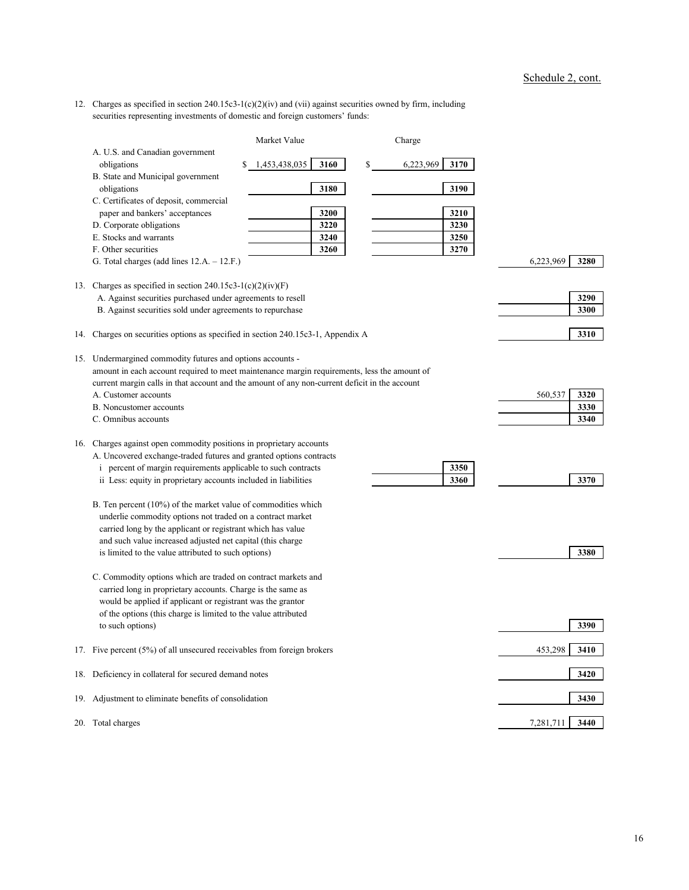12. Charges as specified in section 240.15c3-1(c)(2)(iv) and (vii) against securities owned by firm, including securities representing investments of domestic and foreign customers' funds:

|     |                                                                                               | Market Value          | Charge                    |      |           |      |
|-----|-----------------------------------------------------------------------------------------------|-----------------------|---------------------------|------|-----------|------|
|     | A. U.S. and Canadian government                                                               |                       |                           |      |           |      |
|     | obligations<br>S.                                                                             | 1,453,438,035<br>3160 | $\mathbb{S}$<br>6,223,969 | 3170 |           |      |
|     | B. State and Municipal government                                                             |                       |                           |      |           |      |
|     | obligations                                                                                   | 3180                  |                           | 3190 |           |      |
|     | C. Certificates of deposit, commercial                                                        |                       |                           |      |           |      |
|     | paper and bankers' acceptances                                                                | 3200                  |                           | 3210 |           |      |
|     | D. Corporate obligations                                                                      | 3220                  |                           | 3230 |           |      |
|     | E. Stocks and warrants                                                                        | 3240                  |                           | 3250 |           |      |
|     | F. Other securities                                                                           | 3260                  |                           | 3270 |           |      |
|     | G. Total charges (add lines $12.A. - 12.F.$ )                                                 |                       |                           |      | 6,223,969 | 3280 |
|     |                                                                                               |                       |                           |      |           |      |
| 13. | Charges as specified in section 240.15c3-1(c)(2)(iv)(F)                                       |                       |                           |      |           |      |
|     | A. Against securities purchased under agreements to resell                                    |                       |                           |      |           | 3290 |
|     | B. Against securities sold under agreements to repurchase                                     |                       |                           |      |           | 3300 |
|     |                                                                                               |                       |                           |      |           |      |
| 14. | Charges on securities options as specified in section 240.15c3-1, Appendix A                  |                       |                           |      |           | 3310 |
|     | 15. Undermargined commodity futures and options accounts -                                    |                       |                           |      |           |      |
|     | amount in each account required to meet maintenance margin requirements, less the amount of   |                       |                           |      |           |      |
|     | current margin calls in that account and the amount of any non-current deficit in the account |                       |                           |      |           |      |
|     | A. Customer accounts                                                                          |                       |                           |      | 560,537   | 3320 |
|     | <b>B.</b> Noncustomer accounts                                                                |                       |                           |      |           | 3330 |
|     | C. Omnibus accounts                                                                           |                       |                           |      |           | 3340 |
|     |                                                                                               |                       |                           |      |           |      |
| 16. | Charges against open commodity positions in proprietary accounts                              |                       |                           |      |           |      |
|     | A. Uncovered exchange-traded futures and granted options contracts                            |                       |                           |      |           |      |
|     | <i>i</i> percent of margin requirements applicable to such contracts                          |                       |                           | 3350 |           |      |
|     | ii Less: equity in proprietary accounts included in liabilities                               |                       |                           | 3360 |           | 3370 |
|     |                                                                                               |                       |                           |      |           |      |
|     | B. Ten percent (10%) of the market value of commodities which                                 |                       |                           |      |           |      |
|     | underlie commodity options not traded on a contract market                                    |                       |                           |      |           |      |
|     | carried long by the applicant or registrant which has value                                   |                       |                           |      |           |      |
|     | and such value increased adjusted net capital (this charge                                    |                       |                           |      |           |      |
|     | is limited to the value attributed to such options)                                           |                       |                           |      |           | 3380 |
|     |                                                                                               |                       |                           |      |           |      |
|     | C. Commodity options which are traded on contract markets and                                 |                       |                           |      |           |      |
|     | carried long in proprietary accounts. Charge is the same as                                   |                       |                           |      |           |      |
|     | would be applied if applicant or registrant was the grantor                                   |                       |                           |      |           |      |
|     | of the options (this charge is limited to the value attributed                                |                       |                           |      |           |      |
|     | to such options)                                                                              |                       |                           |      |           | 3390 |
|     | 17. Five percent (5%) of all unsecured receivables from foreign brokers                       |                       |                           |      | 453,298   | 3410 |
|     |                                                                                               |                       |                           |      |           |      |
|     | 18. Deficiency in collateral for secured demand notes                                         |                       |                           |      |           | 3420 |
|     |                                                                                               |                       |                           |      |           |      |
|     | 19. Adjustment to eliminate benefits of consolidation                                         |                       |                           |      |           | 3430 |
|     | 20. Total charges                                                                             |                       |                           |      | 7,281,711 | 3440 |
|     |                                                                                               |                       |                           |      |           |      |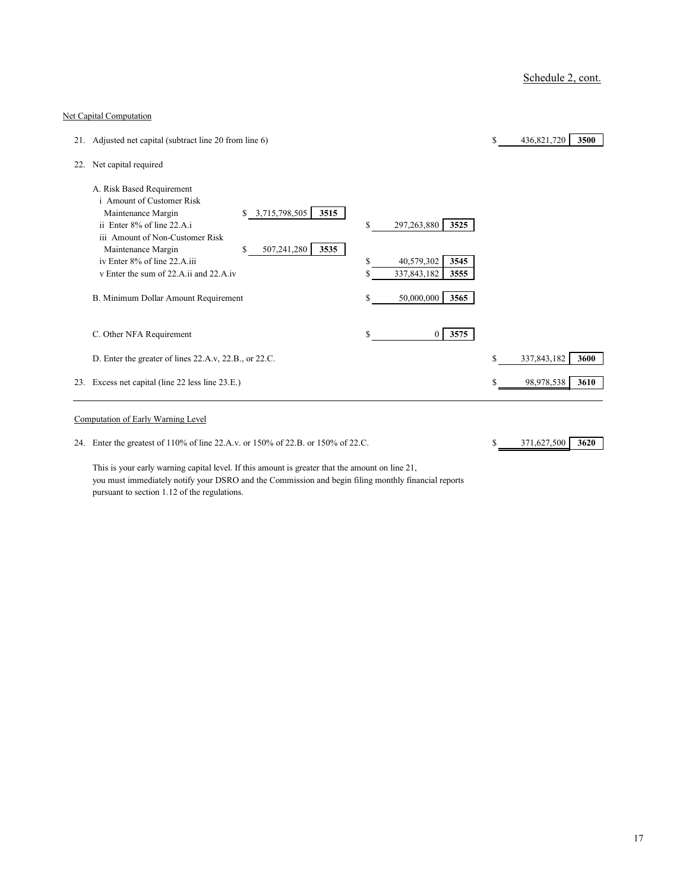### Net Capital Computation

|     | 21. Adjusted net capital (subtract line 20 from line 6)                                                                                                                             |                                                                 | $\mathbb{S}$ | 436,821,720<br>3500 |
|-----|-------------------------------------------------------------------------------------------------------------------------------------------------------------------------------------|-----------------------------------------------------------------|--------------|---------------------|
| 22. | Net capital required                                                                                                                                                                |                                                                 |              |                     |
|     | A. Risk Based Requirement<br><i>i</i> Amount of Customer Risk<br>3,715,798,505<br>3515<br>Maintenance Margin<br>\$<br>ii Enter 8% of line 22.A.i<br>iii Amount of Non-Customer Risk | \$<br>297,263,880<br>3525                                       |              |                     |
|     | 507,241,280<br>3535<br>Maintenance Margin<br>\$<br>iv Enter 8% of line 22.A.iii<br>v Enter the sum of 22.A.ii and 22.A.iv                                                           | 40,579,302<br>$\mathbb{S}$<br>3545<br>337,843,182<br>3555<br>\$ |              |                     |
|     | B. Minimum Dollar Amount Requirement                                                                                                                                                | 50,000,000<br>3565<br>S                                         |              |                     |
|     | C. Other NFA Requirement                                                                                                                                                            | 3575<br>\$<br>$\overline{0}$                                    |              |                     |
|     | D. Enter the greater of lines 22.A.v, 22.B., or 22.C.                                                                                                                               |                                                                 | \$           | 337,843,182<br>3600 |
|     | 23. Excess net capital (line 22 less line 23.E.)                                                                                                                                    |                                                                 |              | 98,978,538<br>3610  |
|     | Computation of Early Warning Level                                                                                                                                                  |                                                                 |              |                     |

24. Enter the greatest of 110% of line 22.A.v. or 150% of 22.B. or 150% of 22.C. \$ 371,627,500 **3620** 

This is your early warning capital level. If this amount is greater that the amount on line 21, you must immediately notify your DSRO and the Commission and begin filing monthly financial reports pursuant to section 1.12 of the regulations.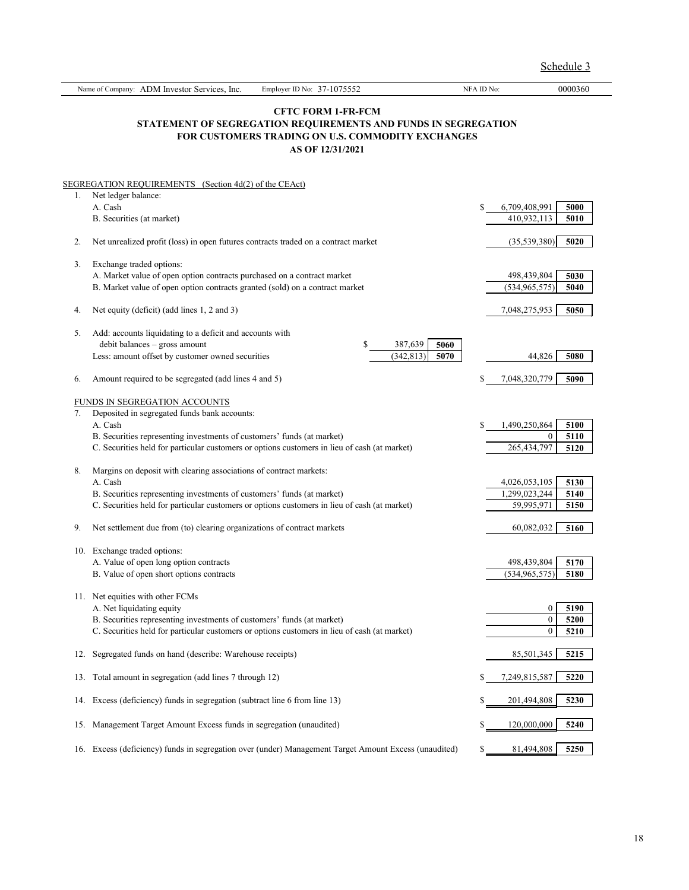|     | Name of Company: ADM Investor Services, Inc.<br>Employer ID No: 37-1075552                                                                                             | NFA ID No:                         | 0000360                                              |  |  |  |  |
|-----|------------------------------------------------------------------------------------------------------------------------------------------------------------------------|------------------------------------|------------------------------------------------------|--|--|--|--|
|     | <b>CFTC FORM 1-FR-FCM</b><br>STATEMENT OF SEGREGATION REQUIREMENTS AND FUNDS IN SEGREGATION<br>FOR CUSTOMERS TRADING ON U.S. COMMODITY EXCHANGES<br>AS OF 12/31/2021   |                                    |                                                      |  |  |  |  |
|     | SEGREGATION REQUIREMENTS (Section 4d(2) of the CEAct)                                                                                                                  |                                    |                                                      |  |  |  |  |
| 1.  | Net ledger balance:<br>A. Cash<br>B. Securities (at market)                                                                                                            | \$<br>6,709,408,991<br>410,932,113 | 5000<br>5010                                         |  |  |  |  |
| 2.  | Net unrealized profit (loss) in open futures contracts traded on a contract market                                                                                     |                                    | (35,539,380)<br>5020                                 |  |  |  |  |
| 3.  | Exchange traded options:                                                                                                                                               |                                    |                                                      |  |  |  |  |
|     | A. Market value of open option contracts purchased on a contract market<br>B. Market value of open option contracts granted (sold) on a contract market                | 498,439,804<br>(534, 965, 575)     | 5030<br>5040                                         |  |  |  |  |
| 4.  | Net equity (deficit) (add lines 1, 2 and 3)                                                                                                                            | 7,048,275,953                      | 5050                                                 |  |  |  |  |
| 5.  | Add: accounts liquidating to a deficit and accounts with<br>debit balances - gross amount<br>\$<br>387,639<br>5060                                                     |                                    |                                                      |  |  |  |  |
|     | Less: amount offset by customer owned securities<br>(342, 813)<br>5070                                                                                                 |                                    | 44,826<br>5080                                       |  |  |  |  |
| 6.  | Amount required to be segregated (add lines 4 and 5)                                                                                                                   | 7,048,320,779<br>S                 | 5090                                                 |  |  |  |  |
|     | FUNDS IN SEGREGATION ACCOUNTS                                                                                                                                          |                                    |                                                      |  |  |  |  |
| 7.  | Deposited in segregated funds bank accounts:<br>A. Cash                                                                                                                | 1,490,250,864<br>\$                | 5100                                                 |  |  |  |  |
|     | B. Securities representing investments of customers' funds (at market)<br>C. Securities held for particular customers or options customers in lieu of cash (at market) | 265,434,797                        | $\boldsymbol{0}$<br>5110<br>5120                     |  |  |  |  |
| 8.  | Margins on deposit with clearing associations of contract markets:<br>A. Cash                                                                                          | 4,026,053,105                      | 5130                                                 |  |  |  |  |
|     | B. Securities representing investments of customers' funds (at market)<br>C. Securities held for particular customers or options customers in lieu of cash (at market) | 1,299,023,244                      | 5140<br>59,995,971<br>5150                           |  |  |  |  |
| 9.  | Net settlement due from (to) clearing organizations of contract markets                                                                                                |                                    | 60,082,032<br>5160                                   |  |  |  |  |
| 10. | Exchange traded options:                                                                                                                                               |                                    |                                                      |  |  |  |  |
|     | A. Value of open long option contracts<br>B. Value of open short options contracts                                                                                     | 498,439,804<br>(534, 965, 575)     | 5170<br>5180                                         |  |  |  |  |
|     | 11. Net equities with other FCMs                                                                                                                                       |                                    |                                                      |  |  |  |  |
|     | A. Net liquidating equity<br>B. Securities representing investments of customers' funds (at market)                                                                    |                                    | $\boldsymbol{0}$<br>5190<br>$\boldsymbol{0}$<br>5200 |  |  |  |  |
|     | C. Securities held for particular customers or options customers in lieu of cash (at market)                                                                           |                                    | $\boldsymbol{0}$<br>5210                             |  |  |  |  |
| 12. | Segregated funds on hand (describe: Warehouse receipts)                                                                                                                |                                    | 85,501,345<br>5215                                   |  |  |  |  |
| 13. | Total amount in segregation (add lines 7 through 12)                                                                                                                   | 7,249,815,587                      | 5220                                                 |  |  |  |  |
| 14. | Excess (deficiency) funds in segregation (subtract line 6 from line 13)                                                                                                | \$<br>201,494,808                  | 5230                                                 |  |  |  |  |
| 15. | Management Target Amount Excess funds in segregation (unaudited)                                                                                                       | 120,000,000<br>\$                  | 5240                                                 |  |  |  |  |
|     | 16. Excess (deficiency) funds in segregation over (under) Management Target Amount Excess (unaudited)                                                                  | \$                                 | 81,494,808<br>5250                                   |  |  |  |  |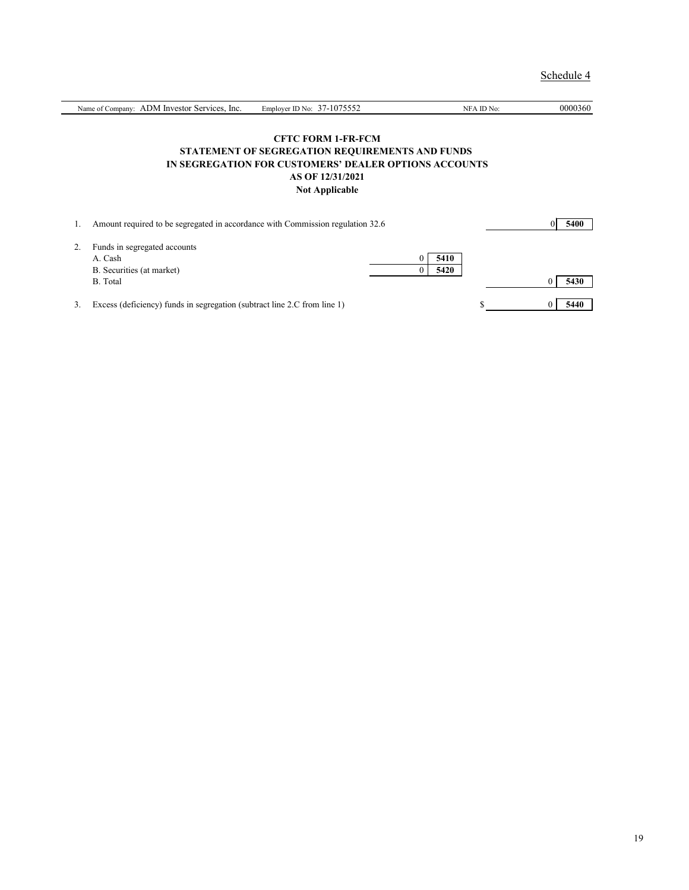| Name of Company: ADM Investor Services, Inc.                                   | Employer ID No: $37-1075552$                           | NFA ID No: | 0000360 |
|--------------------------------------------------------------------------------|--------------------------------------------------------|------------|---------|
|                                                                                |                                                        |            |         |
|                                                                                | <b>CFTC FORM 1-FR-FCM</b>                              |            |         |
|                                                                                | <b>STATEMENT OF SEGREGATION REQUIREMENTS AND FUNDS</b> |            |         |
|                                                                                | IN SEGREGATION FOR CUSTOMERS' DEALER OPTIONS ACCOUNTS  |            |         |
|                                                                                | AS OF 12/31/2021                                       |            |         |
|                                                                                | <b>Not Applicable</b>                                  |            |         |
|                                                                                |                                                        |            |         |
|                                                                                |                                                        |            |         |
| Amount required to be segregated in accordance with Commission regulation 32.6 |                                                        |            | 5400    |
|                                                                                |                                                        |            |         |

| 2. | Funds in segregated accounts |      |      |
|----|------------------------------|------|------|
|    | A. Cash                      | 5410 |      |
|    | B. Securities (at market)    | 5420 |      |
|    | B. Total                     |      | 5430 |
|    |                              |      |      |

3. Excess (deficiency) funds in segregation (subtract line 2.C from line 1) \$ 0 **5440**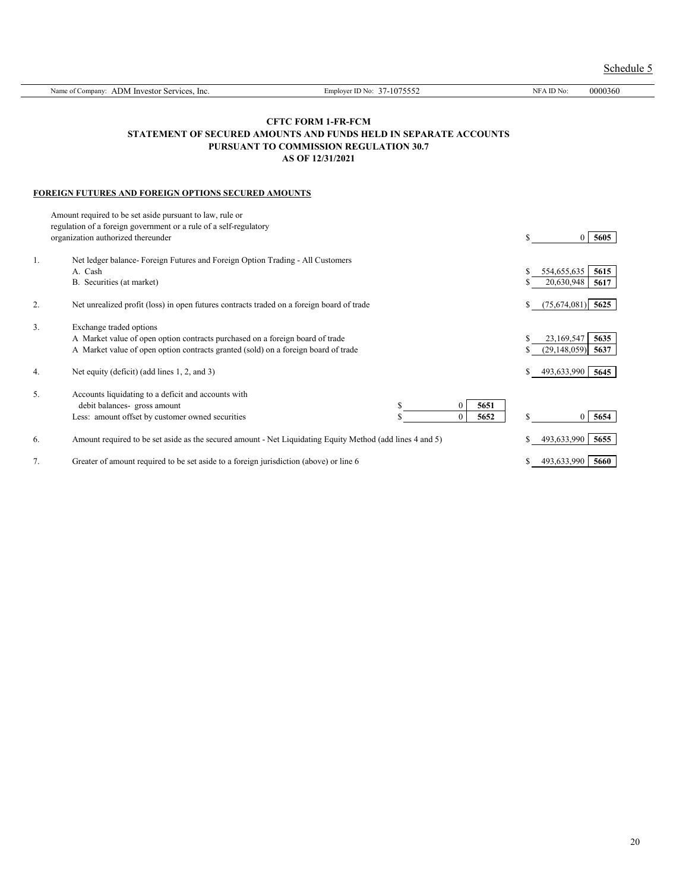|    | Name of Company: ADM Investor Services, Inc.                                                                                                                                                   | Employer ID No: 37-1075552                                                                                                                                  | NFA ID No:                              | 0000360                  |
|----|------------------------------------------------------------------------------------------------------------------------------------------------------------------------------------------------|-------------------------------------------------------------------------------------------------------------------------------------------------------------|-----------------------------------------|--------------------------|
|    |                                                                                                                                                                                                | <b>CFTC FORM 1-FR-FCM</b><br>STATEMENT OF SECURED AMOUNTS AND FUNDS HELD IN SEPARATE ACCOUNTS<br>PURSUANT TO COMMISSION REGULATION 30.7<br>AS OF 12/31/2021 |                                         |                          |
|    | FOREIGN FUTURES AND FOREIGN OPTIONS SECURED AMOUNTS                                                                                                                                            |                                                                                                                                                             |                                         |                          |
|    | Amount required to be set aside pursuant to law, rule or<br>regulation of a foreign government or a rule of a self-regulatory<br>organization authorized thereunder                            |                                                                                                                                                             | S                                       | 5605<br>$\theta$         |
| 1. | Net ledger balance- Foreign Futures and Foreign Option Trading - All Customers<br>A. Cash<br>B. Securities (at market)                                                                         |                                                                                                                                                             | \$<br>554,655,635<br>20,630,948<br>S    | 5615<br>5617             |
| 2. | Net unrealized profit (loss) in open futures contracts traded on a foreign board of trade                                                                                                      |                                                                                                                                                             | \$                                      | $(75,674,081)$ 5625      |
| 3. | Exchange traded options<br>A Market value of open option contracts purchased on a foreign board of trade<br>A Market value of open option contracts granted (sold) on a foreign board of trade |                                                                                                                                                             | 23,169,547<br>\$<br>(29, 148, 059)<br>S | 5635<br>5637             |
| 4. | Net equity (deficit) (add lines 1, 2, and 3)                                                                                                                                                   |                                                                                                                                                             | \$<br>493,633,990                       | 5645                     |
| 5. | Accounts liquidating to a deficit and accounts with<br>debit balances- gross amount<br>Less: amount offset by customer owned securities                                                        | \$<br>$\overline{0}$<br>5651<br>$\overline{0}$<br>5652                                                                                                      | \$                                      | 5654<br>$\boldsymbol{0}$ |
| 6. | Amount required to be set aside as the secured amount - Net Liquidating Equity Method (add lines 4 and 5)                                                                                      |                                                                                                                                                             | 493,633,990                             | 5655                     |
| 7. | Greater of amount required to be set aside to a foreign jurisdiction (above) or line 6                                                                                                         |                                                                                                                                                             | 493,633,990<br>\$                       | 5660                     |

Schedule 5

20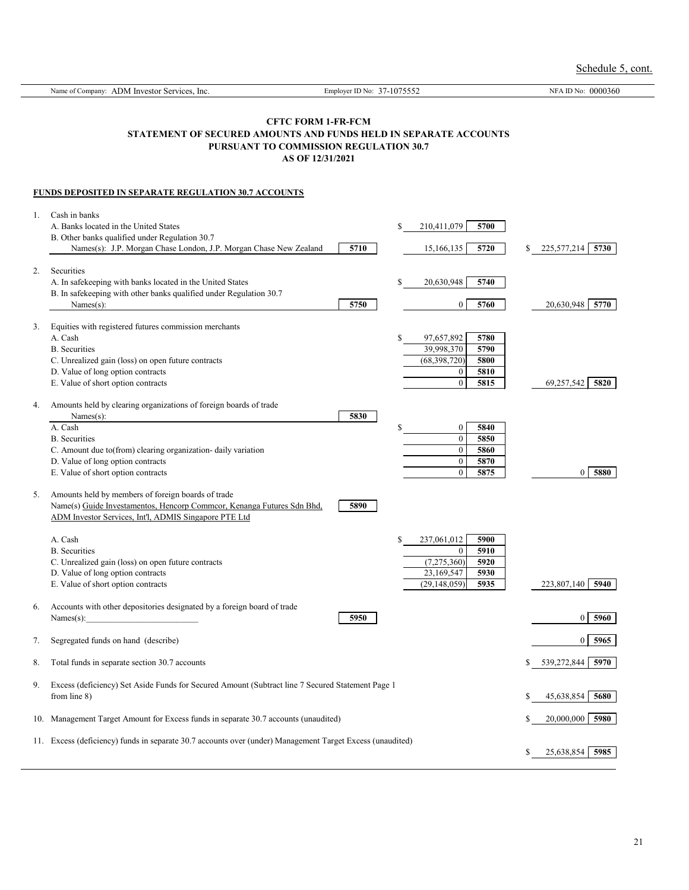Name of Company: ADM Investor Services, Inc. Employer ID No: 37-1075552 NFA ID No: 0000360 **CFTC FORM 1-FR-FCM STATEMENT OF SECURED AMOUNTS AND FUNDS HELD IN SEPARATE ACCOUNTS PURSUANT TO COMMISSION REGULATION 30.7 AS OF 12/31/2021 FUNDS DEPOSITED IN SEPARATE REGULATION 30.7 ACCOUNTS** 1. Cash in banks A. Banks located in the United States \$ 210,411,079 **5700** B. Other banks qualified under Regulation 30.7 Names(s): J.P. Morgan Chase London, J.P. Morgan Chase New Zealand **5710** 15,166,135 **5720** \$ 225,577,214 **5730** 2. Securities A. In safekeeping with banks located in the United States **5 120,630,948 5740** B. In safekeeping with other banks qualified under Regulation 30.7 Names(s): 20,630,948 **5770** 5750 **5750** 0 5760 20,630,948 5770 3. Equities with registered futures commission merchants A. Cash \$ 97,657,892 **5780** B. Securities 39,998,370 **5790** C. Unrealized gain (loss) on open future contracts (68,398,720) **5800** D. Value of long option contracts 0 **5810** E. Value of short option contracts 0 **5815** 69,257,542 **5820** 4. Amounts held by clearing organizations of foreign boards of trade Names(s): **5830** A. Cash \$ 0 **5840** B. Securities 0 **5850** C. Amount due to(from) clearing organization- daily variation 0 **5860** D. Value of long option contracts 0 **5870** E. Value of short option contracts 0 **5875** 0 **5880** 5. Amounts held by members of foreign boards of trade Name(s) Guide Investamentos, Hencorp Commcor, Kenanga Futures Sdn Bhd, **5890** ADM Investor Services, Int'l, ADMIS Singapore PTE Ltd A. Cash \$ 237,061,012 **5900** B. Securities 0 **5910** C. Unrealized gain (loss) on open future contracts (7,275,360) **5920** D. Value of long option contracts 23,169,547 **5930** E. Value of short option contracts (29,148,059) **5935** 223,807,140 **5940** 6. Accounts with other depositories designated by a foreign board of trade Names(s):\_\_\_\_\_\_\_\_\_\_\_\_\_\_\_\_\_\_\_\_\_\_\_\_\_\_ **5950** 0 **5960** 7. Segregated funds on hand (describe) 0 **5965** 8. Total funds in separate section 30.7 accounts \$ 539,272,844 **5970**

9. Excess (deficiency) Set Aside Funds for Secured Amount (Subtract line 7 Secured Statement Page 1 from line 8) \$ 45,638,854 **5680**

10. Management Target Amount for Excess funds in separate 30.7 accounts (unaudited) \$ 20,000,000 **5980**



11. Excess (deficiency) funds in separate 30.7 accounts over (under) Management Target Excess (unaudited)



21